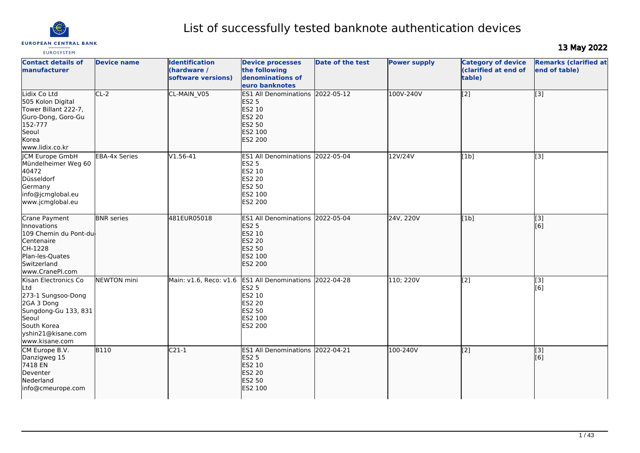

# List of successfully tested banknote authentication devices

# 13 May 2022

| <b>EUROSYSTEM</b>                                                                                                                                       |                      |                                                            |                                                                                                                |                         |                     |                                                             |                                               |
|---------------------------------------------------------------------------------------------------------------------------------------------------------|----------------------|------------------------------------------------------------|----------------------------------------------------------------------------------------------------------------|-------------------------|---------------------|-------------------------------------------------------------|-----------------------------------------------|
| <b>Contact details of</b><br><b>Imanufacturer</b>                                                                                                       | <b>Device name</b>   | <b>Identification</b><br>(hardware /<br>software versions) | <b>Device processes</b><br>the following<br>denominations of<br>euro banknotes                                 | <b>Date of the test</b> | <b>Power supply</b> | <b>Category of device</b><br>(clarified at end of<br>table) | <b>Remarks (clarified at</b><br>end of table) |
| Lidix Co Ltd<br>505 Kolon Digital<br>Tower Billant 222-7,<br>Guro-Dong, Goro-Gu<br>152-777<br>Seoul<br>Korea<br>www.lidix.co.kr                         | $CL-2$               | CL-MAIN_V05                                                | <b>ES1 All Denominations</b><br><b>ES2 5</b><br>ES2 10<br><b>ES2 20</b><br>ES2 50<br>ES2 100<br><b>ES2 200</b> | 2022-05-12              | 100V-240V           | $\overline{[2]}$                                            | $\overline{[3]}$                              |
| <b>CM Europe GmbH</b><br>Mündelheimer Weg 60<br>40472<br>Düsseldorf<br>Germany<br>info@jcmglobal.eu<br>www.jcmglobal.eu                                 | <b>EBA-4x Series</b> | V1.56-41                                                   | <b>IES1 All Denominations 2022-05-04</b><br><b>ES2 5</b><br>ES2 10<br>ES2 20<br>ES2 50<br>ES2 100<br>ES2 200   |                         | 12V/24V             | [1b]                                                        | [3]                                           |
| Crane Payment<br><i>Innovations</i><br>109 Chemin du Pont-du-<br>Centenaire<br>CH-1228<br>Plan-les-Quates<br>Switzerland<br>www.CranePI.com             | <b>BNR</b> series    | 481EUR05018                                                | <b>ES1 All Denominations</b><br><b>ES2 5</b><br>ES2 10<br>ES2 20<br><b>ES2 50</b><br>ES2 100<br><b>ES2 200</b> | 2022-05-04              | 24V, 220V           | [1b]                                                        | $\overline{[3]}$<br>[6]                       |
| Kisan Electronics Co<br>Ltd<br>273-1 Sungsoo-Dong<br>2GA 3 Dong<br>Sungdong-Gu 133, 831<br>Seoul<br>South Korea<br>yshin21@kisane.com<br>www.kisane.com | <b>NEWTON</b> mini   | Main: v1.6, Reco: v1.6                                     | ES1 All Denominations 2022-04-28<br><b>ES2 5</b><br>ES2 10<br><b>ES2 20</b><br>ES2 50<br>ES2 100<br>ES2 200    |                         | 110; 220V           | $\sqrt{2}$                                                  | [3]<br>[6]                                    |
| CM Europe B.V.<br>Danzigweg 15<br>7418 EN<br>Deventer<br>Nederland<br>info@cmeurope.com                                                                 | $\overline{B110}$    | $C21-1$                                                    | ES1 All Denominations 2022-04-21<br><b>ES2 5</b><br><b>ES2 10</b><br><b>ES2 20</b><br><b>ES2 50</b><br>ES2 100 |                         | 100-240V            | $\overline{[2]}$                                            | [3]<br>[6]                                    |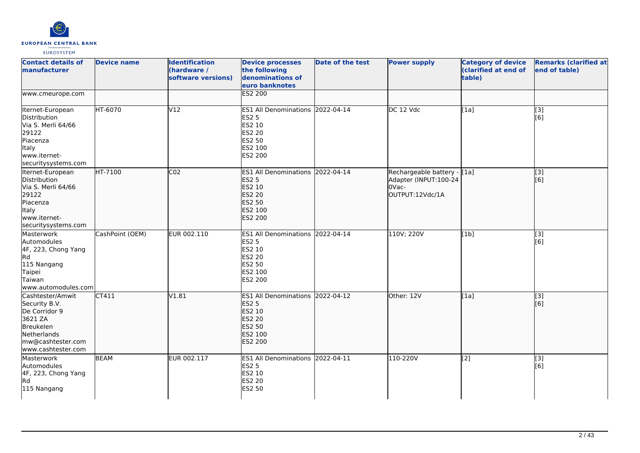

| <b>Contact details of</b><br>manufacturer                                                                                            | <b>Device name</b> | <b>Identification</b><br>(hardware /<br>software versions) | <b>Device processes</b><br>the following<br>denominations of<br>euro banknotes                              | <b>Date of the test</b> | <b>Power supply</b>                                                              | <b>Category of device</b><br>(clarified at end of<br>table) | <b>Remarks (clarified at</b><br>end of table) |
|--------------------------------------------------------------------------------------------------------------------------------------|--------------------|------------------------------------------------------------|-------------------------------------------------------------------------------------------------------------|-------------------------|----------------------------------------------------------------------------------|-------------------------------------------------------------|-----------------------------------------------|
| www.cmeurope.com                                                                                                                     |                    |                                                            | <b>ES2 200</b>                                                                                              |                         |                                                                                  |                                                             |                                               |
| Iternet-European<br>Distribution<br>Via S. Merli 64/66<br>29122<br>Piacenza<br>Italy<br>www.iternet-<br>securitysystems.com          | HT-6070            | V12                                                        | ES1 All Denominations 2022-04-14<br><b>ES2 5</b><br>ES2 10<br>ES2 20<br>ES2 50<br>ES2 100<br>ES2 200        |                         | DC 12 Vdc                                                                        | [1a]                                                        | $\overline{[3]}$<br>[6]                       |
| Iternet-European<br>Distribution<br>Via S. Merli 64/66<br>29122<br>Piacenza<br>Italy<br>www.iternet-<br>securitysystems.com          | HT-7100            | CO <sub>2</sub>                                            | ES1 All Denominations 2022-04-14<br><b>ES2 5</b><br>ES2 10<br><b>ES2 20</b><br>ES2 50<br>ES2 100<br>ES2 200 |                         | Rechargeable battery - [1a]<br>Adapter (INPUT:100-24<br>OVac-<br>OUTPUT:12Vdc/1A |                                                             | $\overline{[}3]$<br>[6]                       |
| Masterwork<br><b>Automodules</b><br>4F, 223, Chong Yang<br>Rd<br>115 Nangang<br>Taipei<br>Taiwan<br>www.automodules.com              | CashPoint (OEM)    | EUR 002.110                                                | ES1 All Denominations 2022-04-14<br><b>ES2 5</b><br>ES2 10<br>ES2 20<br>ES2 50<br>ES2 100<br>ES2 200        |                         | 110V; 220V                                                                       | [1b]                                                        | [3]<br>[6]                                    |
| Cashtester/Amwit<br>Security B.V.<br>De Corridor 9<br>3621 ZA<br>Breukelen<br>Netherlands<br>mw@cashtester.com<br>www.cashtester.com | CT411              | V1.81                                                      | ES1 All Denominations 2022-04-12<br><b>ES2 5</b><br>ES2 10<br><b>ES2 20</b><br>ES2 50<br>ES2 100<br>ES2 200 |                         | Other: 12V                                                                       | [1a]                                                        | [3]<br>[6]                                    |
| Masterwork<br>Automodules<br>4F, 223, Chong Yang<br>lRd.<br>115 Nangang                                                              | <b>BEAM</b>        | EUR 002.117                                                | ES1 All Denominations 2022-04-11<br><b>ES2 5</b><br>ES2 10<br>ES2 20<br>ES2 50                              |                         | 110-220V                                                                         | $\overline{[2]}$                                            | $\overline{[}3]$<br>[6]                       |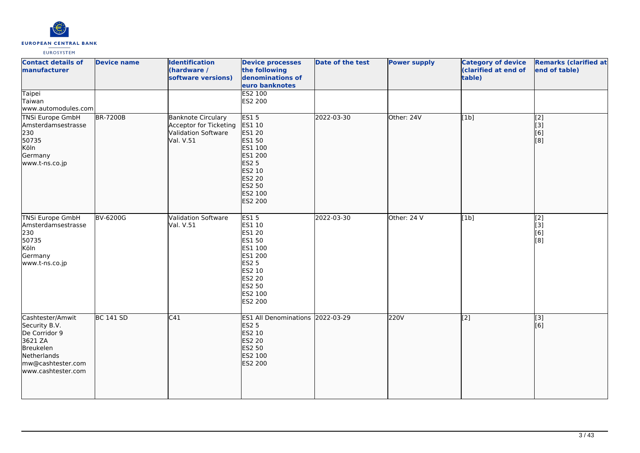

| <b>Contact details of</b><br>manufacturer<br>Taipei                                                                                         | <b>Device name</b> | <b>Identification</b><br>(hardware /<br>software versions)                                     | <b>Device processes</b><br>the following<br>denominations of<br>euro banknotes<br>ES2 100                                                         | Date of the test | <b>Power supply</b> | <b>Category of device</b><br>(clarified at end of<br>table) | <b>Remarks (clarified at</b><br>end of table) |
|---------------------------------------------------------------------------------------------------------------------------------------------|--------------------|------------------------------------------------------------------------------------------------|---------------------------------------------------------------------------------------------------------------------------------------------------|------------------|---------------------|-------------------------------------------------------------|-----------------------------------------------|
| Taiwan<br>www.automodules.com                                                                                                               |                    |                                                                                                | ES2 200                                                                                                                                           |                  |                     |                                                             |                                               |
| <b>TNSi Europe GmbH</b><br>Amsterdamsestrasse<br>230<br>50735<br>Köln<br>Germany<br>www.t-ns.co.jp                                          | <b>BR-7200B</b>    | <b>Banknote Circulary</b><br>Acceptor for Ticketing<br><b>Validation Software</b><br>Val. V.51 | <b>ES15</b><br>ES1 10<br><b>ES1 20</b><br>ES1 50<br>ES1 100<br>ES1 200<br><b>ES2 5</b><br>ES2 10<br><b>ES2 20</b><br>ES2 50<br>ES2 100<br>ES2 200 | 2022-03-30       | Other: 24V          | [1b]                                                        | $\overline{[2]}$<br>[3]<br>[6]<br>[8]         |
| <b>TNSi Europe GmbH</b><br>Amsterdamsestrasse<br>230<br>50735<br>Köln<br>Germany<br>www.t-ns.co.jp                                          | <b>BV-6200G</b>    | <b>Validation Software</b><br>Val. V.51                                                        | <b>ES15</b><br>ES1 10<br>ES1 20<br>ES1 50<br>ES1 100<br>ES1 200<br><b>ES2 5</b><br>ES2 10<br>ES2 20<br>ES2 50<br>ES2 100<br>ES2 200               | 2022-03-30       | Other: 24 V         | [1b]                                                        | $\overline{[2]}$<br>[3]<br>[6]<br>[8]         |
| Cashtester/Amwit<br>Security B.V.<br>De Corridor 9<br>3621 ZA<br><b>Breukelen</b><br>Netherlands<br>mw@cashtester.com<br>www.cashtester.com | <b>BC 141 SD</b>   | C41                                                                                            | ES1 All Denominations 2022-03-29<br><b>ES2 5</b><br>ES2 10<br><b>ES2 20</b><br>ES2 50<br>ES2 100<br>ES2 200                                       |                  | 220V                | $\overline{[2]}$                                            | $\overline{[}3]$<br>[6]                       |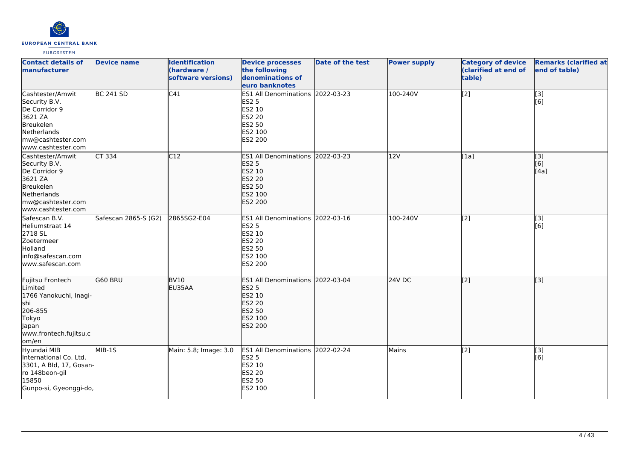

| <b>Contact details of</b><br>manufacturer                                                                                            | <b>Device name</b>   | <b>Identification</b><br>(hardware /<br>software versions) | <b>Device processes</b><br>the following<br>denominations of<br>euro banknotes                                     | Date of the test | <b>Power supply</b> | <b>Category of device</b><br>(clarified at end of<br>table) | <b>Remarks (clarified at</b><br>end of table) |
|--------------------------------------------------------------------------------------------------------------------------------------|----------------------|------------------------------------------------------------|--------------------------------------------------------------------------------------------------------------------|------------------|---------------------|-------------------------------------------------------------|-----------------------------------------------|
| Cashtester/Amwit<br>Security B.V.<br>De Corridor 9<br>3621 ZA<br>Breukelen<br>Netherlands<br>mw@cashtester.com<br>www.cashtester.com | <b>BC 241 SD</b>     | C41                                                        | ES1 All Denominations 2022-03-23<br><b>ES2 5</b><br>ES2 10<br><b>ES2 20</b><br><b>ES2 50</b><br>ES2 100<br>ES2 200 |                  | 100-240V            | $\overline{[2]}$                                            | $\overline{[}3]$<br>[6]                       |
| Cashtester/Amwit<br>Security B.V.<br>De Corridor 9<br>3621 ZA<br>Breukelen<br>Netherlands<br>mw@cashtester.com<br>www.cashtester.com | <b>CT 334</b>        | C12                                                        | <b>ES1 All Denominations</b><br><b>ES2 5</b><br>ES2 10<br>ES2 20<br><b>ES2 50</b><br>ES2 100<br><b>ES2 200</b>     | 2022-03-23       | 12V                 | [1a]                                                        | $\overline{[}3]$<br>[6]<br>[4a]               |
| Safescan B.V.<br>Heliumstraat 14<br>2718 SL<br>Zoetermeer<br>Holland<br>info@safescan.com<br>lwww.safescan.com                       | Safescan 2865-S (G2) | 2865SG2-E04                                                | <b>ES1 All Denominations</b><br><b>ES2 5</b><br>ES2 10<br><b>ES2 20</b><br><b>ES2 50</b><br>ES2 100<br>ES2 200     | 2022-03-16       | 100-240V            | $\overline{[2]}$                                            | $\overline{[3]}$<br>[6]                       |
| Fujitsu Frontech<br>Limited<br>1766 Yanokuchi, Inagi-<br>shi<br>206-855<br>Tokyo<br>Japan<br>www.frontech.fujitsu.c<br>om/en         | G60 BRU              | <b>BV10</b><br>EU35AA                                      | ES1 All Denominations 2022-03-04<br><b>ES2 5</b><br>ES2 10<br><b>ES2 20</b><br><b>ES2 50</b><br>ES2 100<br>ES2 200 |                  | $24V$ DC            | $\overline{[2]}$                                            | $\overline{[}3]$                              |
| Hyundai MIB<br>International Co. Ltd.<br>3301, A Bld, 17, Gosan-<br>ro 148beon-gil<br>15850<br>Gunpo-si, Gyeonggi-do,                | MIB-1S               | Main: 5.8; Image: 3.0                                      | <b>ES1 All Denominations</b><br><b>ES2 5</b><br>ES2 10<br><b>ES2 20</b><br><b>ES2 50</b><br>ES2 100                | 2022-02-24       | Mains               | $\overline{[2]}$                                            | [3]<br>[6]                                    |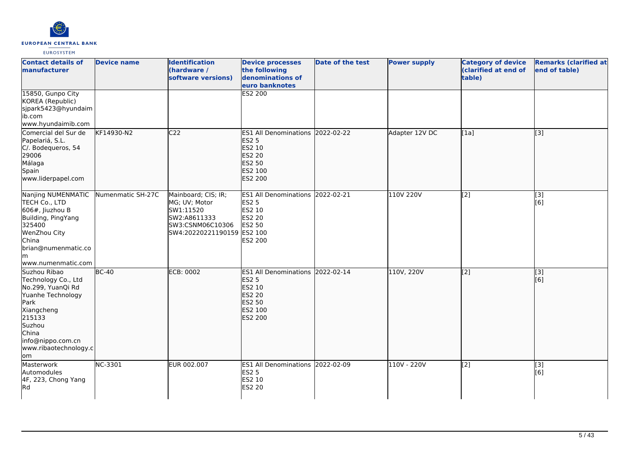

| <b>Contact details of</b><br>manufacturer                                                                                                                                                | <b>Device name</b> | <b>Identification</b><br>(hardware /<br>software versions)                                                          | <b>Device processes</b><br>the following<br>denominations of<br>euro banknotes                              | <b>Date of the test</b> | <b>Power supply</b> | <b>Category of device</b><br>(clarified at end of<br>table) | <b>Remarks (clarified at</b><br>end of table) |
|------------------------------------------------------------------------------------------------------------------------------------------------------------------------------------------|--------------------|---------------------------------------------------------------------------------------------------------------------|-------------------------------------------------------------------------------------------------------------|-------------------------|---------------------|-------------------------------------------------------------|-----------------------------------------------|
| 15850, Gunpo City<br>KOREA (Republic)<br>sjpark5423@hyundaim<br>ib.com<br>www.hyundaimib.com                                                                                             |                    |                                                                                                                     | ES2 200                                                                                                     |                         |                     |                                                             |                                               |
| Comercial del Sur de<br>Papelariá, S.L.<br>C/. Bodequeros, 54<br>29006<br>Málaga<br>Spain<br>www.liderpapel.com                                                                          | KF14930-N2         | C <sub>22</sub>                                                                                                     | <b>ES1 All Denominations</b><br><b>ES2 5</b><br>ES2 10<br><b>ES2 20</b><br>ES2 50<br>ES2 100<br>ES2 200     | 2022-02-22              | Adapter 12V DC      | [1a]                                                        | [3]                                           |
| Nanjing NUMENMATIC Numenmatic SH-27C<br>TECH Co., LTD<br>$606#$ , Jiuzhou B<br>Building, PingYang<br>325400<br>WenZhou City<br>China<br>brian@numenmatic.co<br>lm.<br>www.numenmatic.com |                    | Mainboard; CIS; IR;<br>MG; UV; Motor<br>SW1:11520<br>SW2:A8611333<br>SW3:CSNM06C10306<br>SW4:20220221190159 ES2 100 | ES1 All Denominations 2022-02-21<br><b>ES2 5</b><br>ES2 10<br>ES2 20<br><b>ES2 50</b><br>ES2 200            |                         | 110V 220V           | [2]                                                         | $\overline{[3]}$<br>[6]                       |
| Suzhou Ribao<br>Technology Co., Ltd<br>No.299, YuanQi Rd<br>Yuanhe Technology<br>Park<br>Xiangcheng<br>215133<br>Suzhou<br>China<br>info@nippo.com.cn<br>www.ribaotechnology.c<br>lom    | <b>BC-40</b>       | <b>ECB: 0002</b>                                                                                                    | ES1 All Denominations 2022-02-14<br><b>ES2 5</b><br><b>ES2 10</b><br>ES2 20<br>ES2 50<br>ES2 100<br>ES2 200 |                         | 110V, 220V          | $\overline{[2]}$                                            | $\overline{[3]}$<br>[6]                       |
| Masterwork<br>Automodules<br>4F, 223, Chong Yang<br>Rd                                                                                                                                   | NC-3301            | EUR 002.007                                                                                                         | <b>ES1 All Denominations</b><br><b>ES2 5</b><br>ES2 10<br><b>ES2 20</b>                                     | 2022-02-09              | 110V - 220V         | [2]                                                         | [3]<br>[6]                                    |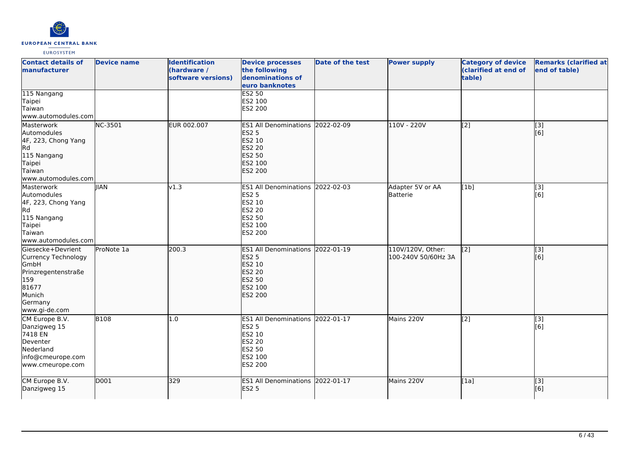

| <b>Contact details of</b><br>manufacturer                                                                                     | <b>Device name</b> | <b>Identification</b><br>(hardware /<br>software versions) | <b>Device processes</b><br>the following<br>denominations of<br>euro banknotes                                     | <b>Date of the test</b> | <b>Power supply</b>                      | <b>Category of device</b><br>(clarified at end of<br>table) | <b>Remarks (clarified at</b><br>end of table) |
|-------------------------------------------------------------------------------------------------------------------------------|--------------------|------------------------------------------------------------|--------------------------------------------------------------------------------------------------------------------|-------------------------|------------------------------------------|-------------------------------------------------------------|-----------------------------------------------|
| 115 Nangang<br>Taipei<br>Taiwan<br>www.automodules.com                                                                        |                    |                                                            | <b>ES2 50</b><br>ES2 100<br>ES2 200                                                                                |                         |                                          |                                                             |                                               |
| Masterwork<br>Automodules<br>4F, 223, Chong Yang<br><b>Rd</b><br>115 Nangang<br>Taipei<br>Taiwan<br>www.automodules.com       | NC-3501            | EUR 002.007                                                | ES1 All Denominations 2022-02-09<br><b>ES2 5</b><br>ES2 10<br><b>ES2 20</b><br><b>ES2 50</b><br>ES2 100<br>ES2 200 |                         | 110V - 220V                              | [2]                                                         | [3]<br>[6]                                    |
| Masterwork<br>Automodules<br>4F, 223, Chong Yang<br>Rd<br>115 Nangang<br>Taipei<br>Taiwan<br>www.automodules.com              | <b>IIAN</b>        | v1.3                                                       | <b>ES1 All Denominations</b><br><b>ES2 5</b><br>ES2 10<br><b>ES2 20</b><br>ES2 50<br>ES2 100<br>ES2 200            | 2022-02-03              | Adapter 5V or AA<br>Batterie             | [1b]                                                        | [3]<br>[6]                                    |
| Giesecke+Devrient<br>Currency Technology<br>GmbH<br>Prinzregentenstraße<br>159<br>81677<br>Munich<br>Germany<br>www.gi-de.com | ProNote 1a         | 200.3                                                      | <b>ES1 All Denominations</b><br><b>ES2 5</b><br>ES2 10<br><b>ES2 20</b><br>ES2 50<br>ES2 100<br><b>ES2 200</b>     | 2022-01-19              | 110V/120V, Other:<br>100-240V 50/60Hz 3A | $\left[ \begin{matrix} 2 \end{matrix} \right]$              | $\overline{[}3]$<br>[6]                       |
| CM Europe B.V.<br>Danzigweg 15<br>7418 EN<br>Deventer<br>Nederland<br>info@cmeurope.com<br>www.cmeurope.com                   | <b>B108</b>        | 1.0                                                        | ES1 All Denominations 2022-01-17<br><b>ES2 5</b><br>ES2 10<br><b>ES2 20</b><br>ES2 50<br>ES2 100<br>ES2 200        |                         | Mains 220V                               | [2]                                                         | [3]<br>[6]                                    |
| CM Europe B.V.<br>Danzigweg 15                                                                                                | D001               | 329                                                        | <b>ES1 All Denominations</b><br><b>ES2 5</b>                                                                       | 2022-01-17              | Mains 220V                               | [1a]                                                        | $\overline{[}3]$<br>[6]                       |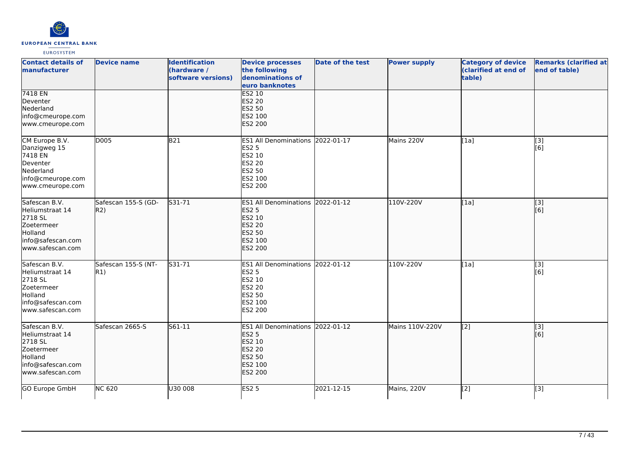

| <b>Contact details of</b><br><b>manufacturer</b>                                                              | <b>Device name</b>         | <b>Identification</b><br>(hardware /<br>software versions) | <b>Device processes</b><br>the following<br>denominations of<br>euro banknotes                                            | <b>Date of the test</b> | <b>Power supply</b> | <b>Category of device</b><br>(clarified at end of<br>table) | <b>Remarks (clarified at</b><br>end of table) |
|---------------------------------------------------------------------------------------------------------------|----------------------------|------------------------------------------------------------|---------------------------------------------------------------------------------------------------------------------------|-------------------------|---------------------|-------------------------------------------------------------|-----------------------------------------------|
| 7418 EN<br>Deventer<br>Nederland<br>info@cmeurope.com<br>www.cmeurope.com                                     |                            |                                                            | <b>ES2 10</b><br><b>ES2 20</b><br>ES2 50<br>ES2 100<br><b>ES2 200</b>                                                     |                         |                     |                                                             |                                               |
| CM Europe B.V.<br>Danzigweg 15<br>7418 EN<br>Deventer<br>Nederland<br>info@cmeurope.com<br>www.cmeurope.com   | D005                       | B21                                                        | ES1 All Denominations 2022-01-17<br><b>ES2 5</b><br>ES2 10<br>ES2 20<br>ES2 50<br>ES2 100<br>ES2 200                      |                         | Mains 220V          | [1a]                                                        | $\overline{[3]}$<br>[6]                       |
| Safescan B.V.<br>Heliumstraat 14<br>2718 SL<br>Zoetermeer<br>Holland<br>info@safescan.com<br>www.safescan.com | Safescan 155-S (GD-<br>R2) | S31-71                                                     | ES1 All Denominations 2022-01-12<br><b>ES2 5</b><br>ES2 10<br><b>ES2 20</b><br><b>ES2 50</b><br>ES2 100<br><b>ES2 200</b> |                         | 110V-220V           | [1a]                                                        | $\overline{[}3]$<br>[6]                       |
| Safescan B.V.<br>Heliumstraat 14<br>2718 SL<br>Zoetermeer<br>Holland<br>info@safescan.com<br>www.safescan.com | Safescan 155-S (NT-<br>R1) | S31-71                                                     | ES1 All Denominations 2022-01-12<br><b>ES2 5</b><br>ES2 10<br><b>ES2 20</b><br>ES2 50<br>ES2 100<br>ES2 200               |                         | 110V-220V           | [1a]                                                        | [3]<br>[6]                                    |
| Safescan B.V.<br>Heliumstraat 14<br>2718 SL<br>Zoetermeer<br>Holland<br>info@safescan.com<br>www.safescan.com | Safescan 2665-S            | $561 - 11$                                                 | ES1 All Denominations 2022-01-12<br><b>ES2 5</b><br>ES2 10<br><b>ES2 20</b><br>ES2 50<br>ES2 100<br>ES2 200               |                         | Mains 110V-220V     | $\overline{[2]}$                                            | $\overline{[3]}$<br>[6]                       |
| GO Europe GmbH                                                                                                | <b>NC 620</b>              | U30 008                                                    | <b>ES2 5</b>                                                                                                              | 2021-12-15              | Mains, 220V         | [2]                                                         | [3]                                           |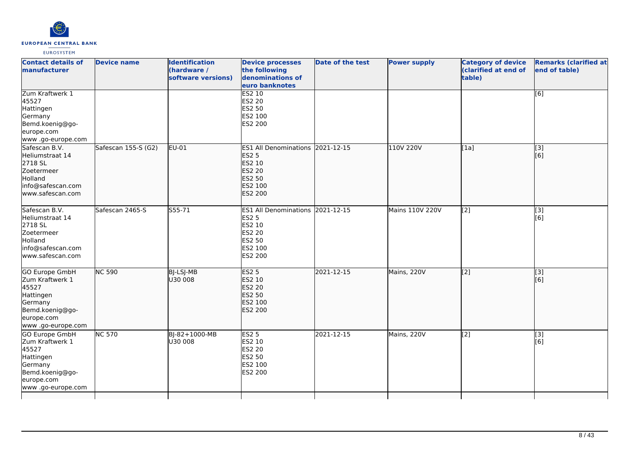

| <b>Contact details of</b><br>manufacturer                                                                                 | <b>Device name</b>  | <b>Identification</b><br>(hardware /<br>software versions) | <b>Device processes</b><br>the following<br>denominations of<br>euro banknotes                                     | <b>Date of the test</b> | <b>Power supply</b> | <b>Category of device</b><br>(clarified at end of<br>table) | <b>Remarks (clarified at</b><br>end of table) |
|---------------------------------------------------------------------------------------------------------------------------|---------------------|------------------------------------------------------------|--------------------------------------------------------------------------------------------------------------------|-------------------------|---------------------|-------------------------------------------------------------|-----------------------------------------------|
| Zum Kraftwerk 1<br>45527<br>Hattingen<br>Germany<br>Bemd.koenig@go-<br>europe.com<br>www.go-europe.com                    |                     |                                                            | <b>ES2 10</b><br><b>ES2 20</b><br>ES2 50<br>ES2 100<br>ES2 200                                                     |                         |                     |                                                             | [6]                                           |
| Safescan B.V.<br>Heliumstraat 14<br>2718 SL<br>Zoetermeer<br>Holland<br>info@safescan.com<br>www.safescan.com             | Safescan 155-S (G2) | EU-01                                                      | ES1 All Denominations 2021-12-15<br><b>ES2 5</b><br>ES2 10<br><b>ES2 20</b><br><b>ES2 50</b><br>ES2 100<br>ES2 200 |                         | 110V 220V           | [1a]                                                        | $\overline{[}$ [3]<br>[6]                     |
| Safescan B.V.<br>Heliumstraat 14<br>2718 SL<br>Zoetermeer<br>Holland<br>info@safescan.com<br>lwww.safescan.com            | Safescan 2465-S     | S55-71                                                     | ES1 All Denominations 2021-12-15<br>ES2 5<br>ES2 10<br><b>ES2 20</b><br>ES2 50<br>ES2 100<br>ES2 200               |                         | Mains 110V 220V     | [2]                                                         | [3]<br>[6]                                    |
| GO Europe GmbH<br>Zum Kraftwerk 1<br>45527<br>Hattingen<br>Germany<br>Bemd.koenig@go-<br>europe.com<br>www .go-europe.com | <b>NC 590</b>       | <b>BJ-LSJ-MB</b><br>U30 008                                | <b>ES2 5</b><br>ES2 10<br><b>ES2 20</b><br>ES2 50<br>ES2 100<br>ES2 200                                            | 2021-12-15              | Mains, 220V         | $\overline{[2]}$                                            | $\overline{[}3]$<br>[6]                       |
| GO Europe GmbH<br>Zum Kraftwerk 1<br>45527<br>Hattingen<br>Germany<br>Bemd.koenig@go-<br>europe.com<br>www.go-europe.com  | <b>NC 570</b>       | BJ-82+1000-MB<br>U30 008                                   | <b>ES2 5</b><br>ES2 10<br>ES2 20<br>ES2 50<br>ES2 100<br>ES2 200                                                   | 2021-12-15              | Mains, 220V         | $\overline{[2]}$                                            | [3]<br>[6]                                    |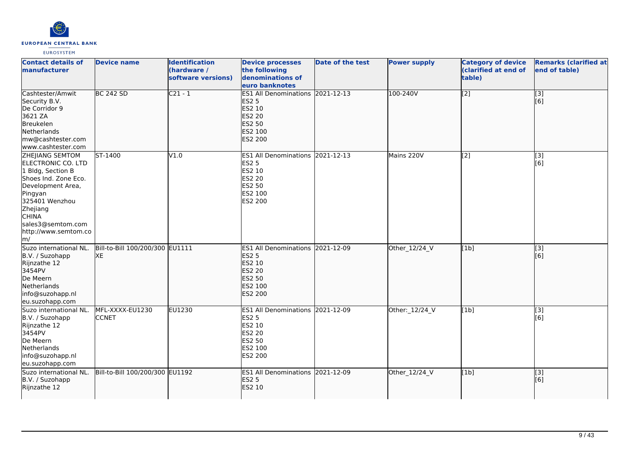

| <b>Contact details of</b><br>manufacturer                                                                                                                                                                                             | <b>Device name</b>                    | <b>Identification</b><br>(hardware /<br>software versions) | <b>Device processes</b><br>the following<br>denominations of<br>euro banknotes                                            | Date of the test | <b>Power supply</b> | <b>Category of device</b><br>(clarified at end of<br>table) | <b>Remarks (clarified at</b><br>end of table) |
|---------------------------------------------------------------------------------------------------------------------------------------------------------------------------------------------------------------------------------------|---------------------------------------|------------------------------------------------------------|---------------------------------------------------------------------------------------------------------------------------|------------------|---------------------|-------------------------------------------------------------|-----------------------------------------------|
| Cashtester/Amwit<br>Security B.V.<br>De Corridor 9<br>3621 ZA<br>Breukelen<br>Netherlands<br>mw@cashtester.com<br>www.cashtester.com                                                                                                  | <b>BC 242 SD</b>                      | $C21 - 1$                                                  | ES1 All Denominations 2021-12-13<br><b>ES2 5</b><br>ES2 10<br><b>ES2 20</b><br><b>ES2 50</b><br>ES2 100<br><b>ES2 200</b> |                  | 100-240V            | $\overline{[2]}$                                            | $\overline{[}3]$<br>[6]                       |
| ZHEJIANG SEMTOM<br><b>ELECTRONIC CO. LTD</b><br>1 Bldg, Section B<br>Shoes Ind. Zone Eco.<br>Development Area,<br>Pingyan<br>325401 Wenzhou<br>Zhejiang<br><b>CHINA</b><br>sales3@semtom.com<br>http://www.semtom.co<br>$\mathsf{m}/$ | ST-1400                               | V1.0                                                       | ES1 All Denominations 2021-12-13<br><b>ES2 5</b><br>ES2 10<br><b>ES2 20</b><br><b>ES2 50</b><br>ES2 100<br>ES2 200        |                  | Mains 220V          | [2]                                                         | [3]<br>[6]                                    |
| Suzo international NL.<br>B.V. / Suzohapp<br>Rijnzathe 12<br>3454PV<br>De Meern<br><b>Netherlands</b><br>info@suzohapp.nl<br>eu.suzohapp.com                                                                                          | Bill-to-Bill 100/200/300 EU1111<br>XE |                                                            | ES1 All Denominations 2021-12-09<br><b>ES2 5</b><br>ES2 10<br><b>ES2 20</b><br><b>ES2 50</b><br>ES2 100<br><b>ES2 200</b> |                  | Other_12/24_V       | [1b]                                                        | $\overline{[3]}$<br>[6]                       |
| Suzo international NL.<br>B.V. / Suzohapp<br>Rijnzathe 12<br>3454PV<br>De Meern<br>Netherlands<br>info@suzohapp.nl<br>eu.suzohapp.com                                                                                                 | MFL-XXXX-EU1230<br><b>CCNET</b>       | EU1230                                                     | ES1 All Denominations 2021-12-09<br><b>ES2 5</b><br>ES2 10<br><b>ES2 20</b><br><b>ES2 50</b><br>ES2 100<br>ES2 200        |                  | Other:_12/24_V      | [1b]                                                        | [3]<br>[6]                                    |
| Suzo international NL.<br>B.V. / Suzohapp<br>Rijnzathe 12                                                                                                                                                                             | Bill-to-Bill 100/200/300 EU1192       |                                                            | ES1 All Denominations 2021-12-09<br><b>ES2 5</b><br><b>ES2 10</b>                                                         |                  | Other_12/24_V       | [1b]                                                        | $\sqrt{3}$<br>[6]                             |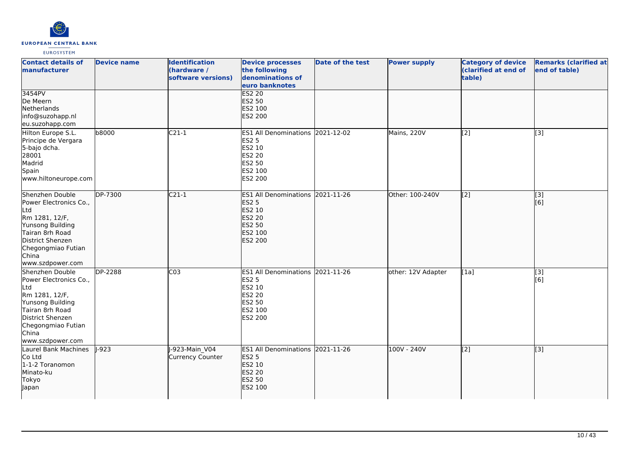

| <b>Contact details of</b><br>manufacturer                                                                                                                                        | <b>Device name</b> | <b>Identification</b><br>(hardware /<br>software versions) | <b>Device processes</b><br>the following<br>denominations of<br>euro banknotes                                     | Date of the test | <b>Power supply</b> | <b>Category of device</b><br>(clarified at end of<br>table) | <b>Remarks (clarified at</b><br>end of table) |
|----------------------------------------------------------------------------------------------------------------------------------------------------------------------------------|--------------------|------------------------------------------------------------|--------------------------------------------------------------------------------------------------------------------|------------------|---------------------|-------------------------------------------------------------|-----------------------------------------------|
| 3454PV<br>De Meern<br>Netherlands<br>info@suzohapp.nl<br>eu.suzohapp.com                                                                                                         |                    |                                                            | <b>ES2 20</b><br>ES2 50<br>ES2 100<br>ES2 200                                                                      |                  |                     |                                                             |                                               |
| Hilton Europe S.L.<br>Principe de Vergara<br>5-bajo dcha.<br>28001<br>Madrid<br>Spain<br>www.hiltoneurope.com                                                                    | b8000              | $C21-1$                                                    | <b>ES1 All Denominations</b><br><b>ES2 5</b><br>ES2 10<br><b>ES2 20</b><br><b>ES2 50</b><br>ES2 100<br>ES2 200     | 2021-12-02       | Mains, 220V         | [2]                                                         | [3]                                           |
| Shenzhen Double<br>Power Electronics Co.,<br>Ltd<br>Rm 1281, 12/F,<br>Yunsong Building<br>Tairan 8rh Road<br>District Shenzen<br>Chegongmiao Futian<br>China<br>www.szdpower.com | <b>DP-7300</b>     | $C21-1$                                                    | ES1 All Denominations 2021-11-26<br><b>ES2 5</b><br>ES2 10<br><b>ES2 20</b><br>ES2 50<br>ES2 100<br>ES2 200        |                  | Other: 100-240V     | $\overline{[2]}$                                            | [3]<br>[6]                                    |
| Shenzhen Double<br>Power Electronics Co.,<br>Ltd<br>Rm 1281, 12/F,<br>Yunsong Building<br>Tairan 8rh Road<br>District Shenzen<br>Chegongmiao Futian<br>China<br>www.szdpower.com | <b>DP-2288</b>     | CO <sub>3</sub>                                            | ES1 All Denominations 2021-11-26<br><b>ES2 5</b><br>ES2 10<br><b>ES2 20</b><br><b>ES2 50</b><br>ES2 100<br>ES2 200 |                  | other: 12V Adapter  | [1a]                                                        | [3]<br>[6]                                    |
| Laurel Bank Machines<br>Co Ltd<br>1-1-2 Toranomon<br>Minato-ku<br>Tokyo<br>Japan                                                                                                 | $1-923$            | -923-Main V04<br>Currency Counter                          | ES1 All Denominations 2021-11-26<br><b>ES2 5</b><br>ES2 10<br>ES2 20<br><b>ES2 50</b><br>ES2 100                   |                  | 100V - 240V         | $\overline{[2]}$                                            | $\overline{[}3]$                              |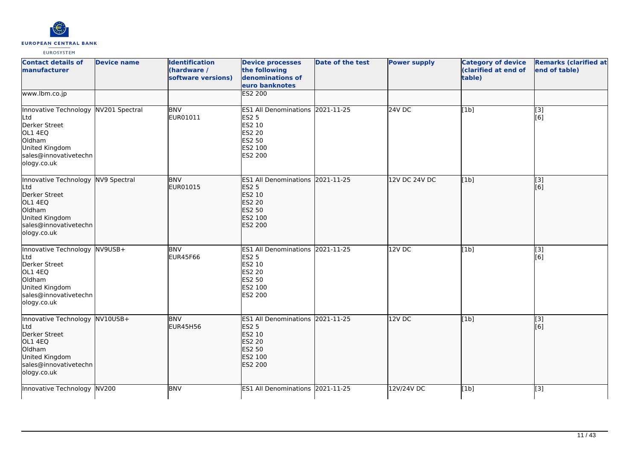

| <b>Contact details of</b><br>manufacturer                                                                                                   | <b>Device name</b> | <b>Identification</b><br>(hardware /<br>software versions) | <b>Device processes</b><br>the following<br>denominations of<br>euro banknotes                                     | Date of the test | <b>Power supply</b> | <b>Category of device</b><br>(clarified at end of<br>table) | <b>Remarks (clarified at</b><br>end of table) |
|---------------------------------------------------------------------------------------------------------------------------------------------|--------------------|------------------------------------------------------------|--------------------------------------------------------------------------------------------------------------------|------------------|---------------------|-------------------------------------------------------------|-----------------------------------------------|
| www.lbm.co.jp                                                                                                                               |                    |                                                            | <b>ES2 200</b>                                                                                                     |                  |                     |                                                             |                                               |
| Innovative Technology NV201 Spectral<br>Ltd<br>Derker Street<br>OL1 4EQ<br>Oldham<br>United Kingdom<br>sales@innovativetechn<br>ology.co.uk |                    | <b>BNV</b><br>EUR01011                                     | ES1 All Denominations 2021-11-25<br><b>ES2 5</b><br>ES2 10<br><b>ES2 20</b><br><b>ES2 50</b><br>ES2 100<br>ES2 200 |                  | $24V$ DC            | [1b]                                                        | $[3]$<br>[6]                                  |
| Innovative Technology NV9 Spectral<br>Ltd<br>Derker Street<br>OL1 4EQ<br>Oldham<br>United Kingdom<br>sales@innovativetechn<br>ology.co.uk   |                    | <b>BNV</b><br>EUR01015                                     | <b>ES1 All Denominations</b><br><b>ES2 5</b><br>ES2 10<br><b>ES2 20</b><br>ES2 50<br>ES2 100<br><b>ES2 200</b>     | 2021-11-25       | 12V DC 24V DC       | [1b]                                                        | $\overline{[}3]$<br>[6]                       |
| Innovative Technology NV9USB+<br>Ltd<br>Derker Street<br>OL1 4EQ<br>Oldham<br>United Kingdom<br>sales@innovativetechn<br>ology.co.uk        |                    | <b>BNV</b><br><b>EUR45F66</b>                              | ES1 All Denominations 2021-11-25<br><b>ES2 5</b><br>ES2 10<br><b>ES2 20</b><br><b>ES2 50</b><br>ES2 100<br>ES2 200 |                  | 12VDC               | [1b]                                                        | [3]<br>[6]                                    |
| Innovative Technology NV10USB+<br>Ltd<br>Derker Street<br>OL1 4EQ<br>Oldham<br>United Kingdom<br>sales@innovativetechn<br>ology.co.uk       |                    | <b>BNV</b><br><b>EUR45H56</b>                              | <b>ES1 All Denominations</b><br><b>ES2 5</b><br>ES2 10<br><b>ES2 20</b><br><b>ES2 50</b><br>ES2 100<br>ES2 200     | 2021-11-25       | 12V DC              | [1b]                                                        | [3]<br>[[6]                                   |
| Innovative Technology NV200                                                                                                                 |                    | <b>BNV</b>                                                 | <b>ES1 All Denominations</b>                                                                                       | 2021-11-25       | 12V/24V DC          | [1b]                                                        | [3]                                           |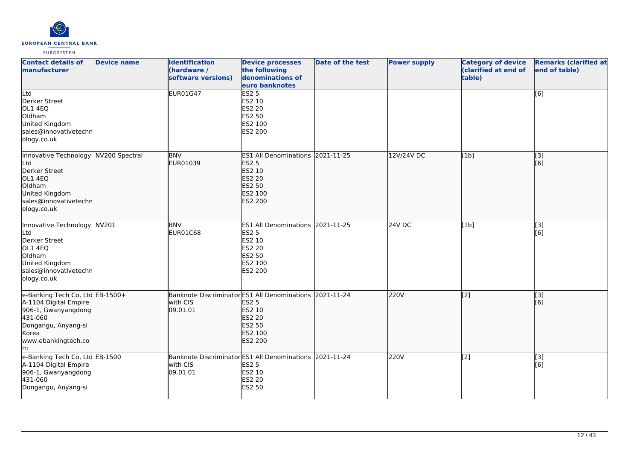

| <b>Contact details of</b><br>manufacturer                                                                                                               | <b>Device name</b> | <b>Identification</b><br>(hardware /<br>software versions)                      | <b>Device processes</b><br>the following<br>denominations of<br>euro banknotes                                 | <b>Date of the test</b> | <b>Power supply</b> | <b>Category of device</b><br>(clarified at end of<br>table) | <b>Remarks (clarified at</b><br>end of table) |
|---------------------------------------------------------------------------------------------------------------------------------------------------------|--------------------|---------------------------------------------------------------------------------|----------------------------------------------------------------------------------------------------------------|-------------------------|---------------------|-------------------------------------------------------------|-----------------------------------------------|
| Ltd<br>Derker Street<br>OL1 4EQ<br>Oldham<br>United Kingdom<br>sales@innovativetechn<br>ology.co.uk                                                     |                    | <b>EUR01G47</b>                                                                 | ES2 <sub>5</sub><br>ES2 10<br>ES2 20<br>ES2 50<br>ES2 100<br>ES2 200                                           |                         |                     |                                                             | $\overline{[6]}$                              |
| Innovative Technology NV200 Spectral<br>Ltd<br>Derker Street<br>OL1 4EQ<br>Oldham<br>United Kingdom<br>sales@innovativetechn<br>ology.co.uk             |                    | <b>BNV</b><br>EUR01039                                                          | <b>ES1 All Denominations</b><br><b>ES2 5</b><br>ES2 10<br><b>ES2 20</b><br>ES2 50<br>ES2 100<br><b>ES2 200</b> | 2021-11-25              | 12V/24V DC          | [1b]                                                        | $\overline{[3]}$<br>[6]                       |
| Innovative Technology NV201<br>Ltd<br>Derker Street<br>OL1 4EQ<br>Oldham<br>United Kingdom<br>sales@innovativetechn<br>ology.co.uk                      |                    | <b>BNV</b><br><b>EUR01C68</b>                                                   | <b>ES1 All Denominations</b><br>ES2 5<br>ES2 10<br>ES2 20<br>ES2 50<br>ES2 100<br>ES2 200                      | 2021-11-25              | 24V DC              | [1b]                                                        | $\overline{[3]}$<br>[6]                       |
| e-Banking Tech Co, Ltd EB-1500+<br>A-1104 Digital Empire<br>906-1, Gwanyangdong<br>431-060<br>Dongangu, Anyang-si<br>Korea<br>www.ebankingtech.co<br>Im |                    | Banknote Discriminator ES1 All Denominations 2021-11-24<br>with CIS<br>09.01.01 | <b>ES2 5</b><br>ES2 10<br><b>ES2 20</b><br>ES2 50<br>ES2 100<br><b>ES2 200</b>                                 |                         | 220V                | $\overline{[2]}$                                            | $\overline{[}3]$<br>[6]                       |
| e-Banking Tech Co, Ltd EB-1500<br>A-1104 Digital Empire<br>906-1, Gwanyangdong<br>431-060<br>Dongangu, Anyang-si                                        |                    | Banknote Discriminator ES1 All Denominations<br>with CIS<br>09.01.01            | <b>ES2 5</b><br>ES2 10<br>ES2 20<br><b>ES2 50</b>                                                              | 2021-11-24              | 220V                | $[2]$                                                       | [3]<br>[6]                                    |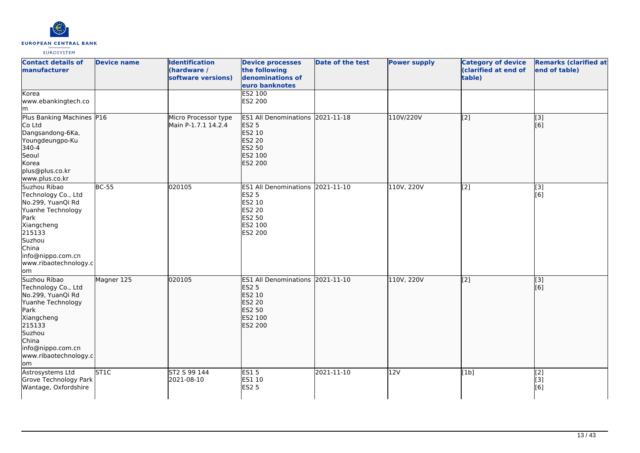

| <b>Contact details of</b><br>manufacturer<br>Korea                                                                                                                                    | <b>Device name</b> | <b>Identification</b><br>(hardware /<br>software versions) | <b>Device processes</b><br>the following<br>denominations of<br>euro banknotes<br>ES2 100                                 | <b>Date of the test</b> | <b>Power supply</b> | <b>Category of device</b><br>(clarified at end of<br>table) | <b>Remarks (clarified at</b><br>end of table) |
|---------------------------------------------------------------------------------------------------------------------------------------------------------------------------------------|--------------------|------------------------------------------------------------|---------------------------------------------------------------------------------------------------------------------------|-------------------------|---------------------|-------------------------------------------------------------|-----------------------------------------------|
| www.ebankingtech.co<br>lm.                                                                                                                                                            |                    |                                                            | ES2 200                                                                                                                   |                         |                     |                                                             |                                               |
| Plus Banking Machines P16<br>Co Ltd<br>Dangsandong-6Ka,<br>Youngdeungpo-Ku<br>340-4<br>Seoul<br>Korea<br>plus@plus.co.kr<br>www.plus.co.kr                                            |                    | Micro Processor type<br>Main P-1.7.1 14.2.4                | ES1 All Denominations 2021-11-18<br><b>ES2 5</b><br>ES2 10<br><b>ES2 20</b><br><b>ES2 50</b><br>ES2 100<br><b>ES2 200</b> |                         | 110V/220V           | $\overline{[2]}$                                            | $\overline{[}3]$<br>[6]                       |
| Suzhou Ribao<br>Technology Co., Ltd<br>No.299, YuanQi Rd<br>Yuanhe Technology<br>Park<br>Xiangcheng<br>215133<br>Suzhou<br>China<br>info@nippo.com.cn<br>www.ribaotechnology.c<br>lom | <b>BC-55</b>       | 020105                                                     | ES1 All Denominations 2021-11-10<br><b>ES2 5</b><br>ES2 10<br>ES2 20<br>ES2 50<br>ES2 100<br>ES2 200                      |                         | 110V, 220V          | [2]                                                         | [3]<br>[6]                                    |
| Suzhou Ribao<br>Technology Co., Ltd<br>No.299, YuanQi Rd<br>Yuanhe Technology<br>Park<br>Xiangcheng<br>215133<br>Suzhou<br>China<br>info@nippo.com.cn<br>www.ribaotechnology.c<br>lom | Magner 125         | 020105                                                     | ES1 All Denominations 2021-11-10<br><b>ES2 5</b><br>ES2 10<br><b>ES2 20</b><br>ES2 50<br>ES2 100<br>ES2 200               |                         | 110V, 220V          | $\overline{[2]}$                                            | [3]<br>[6]                                    |
| Astrosystems Ltd<br>Grove Technology Park<br>Wantage, Oxfordshire                                                                                                                     | <b>ST1C</b>        | ST2 S 99 144<br>2021-08-10                                 | ES15<br>ES1 10<br><b>ES2 5</b>                                                                                            | 2021-11-10              | 12V                 | [1b]                                                        | $\overline{[2]}$<br>[3]<br>[6]                |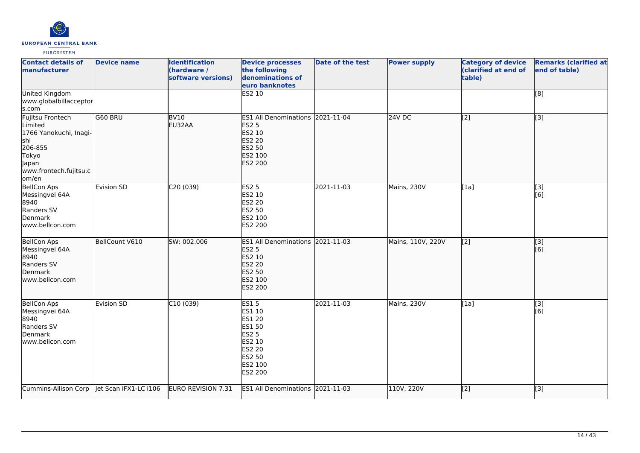

| <b>Contact details of</b><br>manufacturer                                                                                    | <b>Device name</b>    | <b>Identification</b><br>(hardware /<br>software versions) | <b>Device processes</b><br>the following<br>denominations of<br>euro banknotes                                              | <b>Date of the test</b> | <b>Power supply</b> | <b>Category of device</b><br>(clarified at end of<br>table) | <b>Remarks (clarified at</b><br>end of table) |
|------------------------------------------------------------------------------------------------------------------------------|-----------------------|------------------------------------------------------------|-----------------------------------------------------------------------------------------------------------------------------|-------------------------|---------------------|-------------------------------------------------------------|-----------------------------------------------|
| <b>United Kingdom</b><br>www.globalbillacceptor<br>s.com                                                                     |                       |                                                            | <b>ES2 10</b>                                                                                                               |                         |                     |                                                             | [8]                                           |
| Fujitsu Frontech<br>Limited<br>1766 Yanokuchi, Inagi-<br>shi<br>206-855<br>Tokyo<br>Japan<br>www.frontech.fujitsu.c<br>om/en | G60 BRU               | <b>BV10</b><br>EU32AA                                      | <b>ES1 All Denominations</b><br><b>ES2 5</b><br>ES2 10<br><b>ES2 20</b><br>ES2 50<br>ES2 100<br>ES2 200                     | 2021-11-04              | $24V$ DC            | $\overline{[2]}$                                            | $\overline{[}3]$                              |
| <b>BellCon Aps</b><br>Messingvei 64A<br>8940<br>Randers SV<br>Denmark<br>www.bellcon.com                                     | Evision SD            | C <sub>20</sub> (039)                                      | <b>ES2 5</b><br>ES2 10<br><b>ES2 20</b><br>ES2 50<br>ES2 100<br>ES2 200                                                     | 2021-11-03              | Mains, 230V         | [1a]                                                        | [3]<br>[6]                                    |
| BellCon Aps<br>Messingvei 64A<br>8940<br>Randers SV<br>Denmark<br>www.bellcon.com                                            | BellCount V610        | SW: 002.006                                                | ES1 All Denominations 2021-11-03<br><b>ES2 5</b><br>ES2 10<br><b>ES2 20</b><br><b>ES2 50</b><br>ES2 100<br>ES2 200          |                         | Mains, 110V, 220V   | $\overline{[2]}$                                            | [3]<br>[6]                                    |
| <b>BellCon Aps</b><br>Messingvei 64A<br>8940<br>Randers SV<br>Denmark<br>www.bellcon.com                                     | Evision SD            | C10(039)                                                   | <b>ES15</b><br>ES1 10<br>ES1 20<br><b>ES1 50</b><br><b>ES2 5</b><br>ES2 10<br><b>ES2 20</b><br>ES2 50<br>ES2 100<br>ES2 200 | 2021-11-03              | Mains, 230V         | [1a]                                                        | $\overline{[3]}$<br>[6]                       |
| Cummins-Allison Corp                                                                                                         | Jet Scan iFX1-LC i106 | EURO REVISION 7.31                                         | ES1 All Denominations 2021-11-03                                                                                            |                         | 110V, 220V          | [2]                                                         | [3]                                           |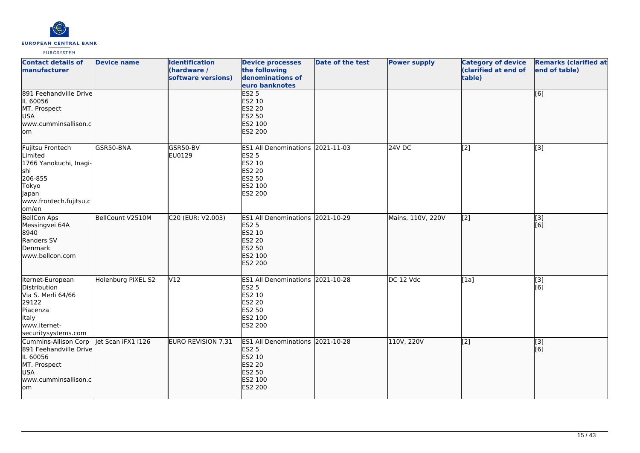

| <b>Contact details of</b><br>manufacturer                                                                                          | <b>Device name</b> | <b>Identification</b><br>(hardware /<br>software versions) | <b>Device processes</b><br>the following<br>denominations of<br>euro banknotes                                        | Date of the test | <b>Power supply</b> | <b>Category of device</b><br>(clarified at end of<br>table) | <b>Remarks (clarified at</b><br>end of table) |
|------------------------------------------------------------------------------------------------------------------------------------|--------------------|------------------------------------------------------------|-----------------------------------------------------------------------------------------------------------------------|------------------|---------------------|-------------------------------------------------------------|-----------------------------------------------|
| 891 Feehandville Drive<br>IL 60056<br>MT. Prospect<br>USA<br>www.cumminsallison.c<br>lom                                           |                    |                                                            | ES2 <sub>5</sub><br>ES2 10<br><b>ES2 20</b><br>ES2 50<br>ES2 100<br><b>ES2 200</b>                                    |                  |                     |                                                             | [6]                                           |
| Fujitsu Frontech<br>Limited<br>1766 Yanokuchi, Inagi-<br>lshi<br>206-855<br>Tokyo<br>Japan<br>www.frontech.fujitsu.c<br>om/en      | GSR50-BNA          | GSR50-BV<br>EU0129                                         | ES1 All Denominations 2021-11-03<br>ES2 5<br>ES2 10<br>ES2 20<br>ES2 50<br>ES2 100<br>ES2 200                         |                  | 24V DC              | [2]                                                         | $[3]$                                         |
| <b>BellCon Aps</b><br>Messingvei 64A<br>8940<br>Randers SV<br>Denmark<br>www.bellcon.com                                           | BellCount V2510M   | C20 (EUR: V2.003)                                          | <b>ES1 All Denominations</b><br><b>ES2 5</b><br>ES2 10<br><b>ES2 20</b><br><b>ES2 50</b><br>ES2 100<br>ES2 200        | 2021-10-29       | Mains, 110V, 220V   | $\overline{[2]}$                                            | $\overline{[}3]$<br>[6]                       |
| Iternet-European<br>Distribution<br>Via S. Merli 64/66<br>29122<br>Piacenza<br><b>Italy</b><br>www.iternet-<br>securitysystems.com | Holenburg PIXEL S2 | V <sub>12</sub>                                            | ES1 All Denominations 2021-10-28<br><b>ES2 5</b><br>ES2 10<br>ES2 20<br>ES2 50<br>ES2 100<br>ES2 200                  |                  | DC 12 Vdc           | [1a]                                                        | $[3]$<br>[6]                                  |
| Cummins-Allison Corp<br>891 Feehandville Drive<br>IL 60056<br>MT. Prospect<br>USA<br>www.cumminsallison.c<br>lom                   | et Scan iFX1 i126  | <b>EURO REVISION 7.31</b>                                  | <b>ES1 All Denominations</b><br><b>ES2 5</b><br>ES2 10<br><b>ES2 20</b><br><b>ES2 50</b><br>ES2 100<br><b>ES2 200</b> | 2021-10-28       | 110V, 220V          | [2]                                                         | [3]<br>[6]                                    |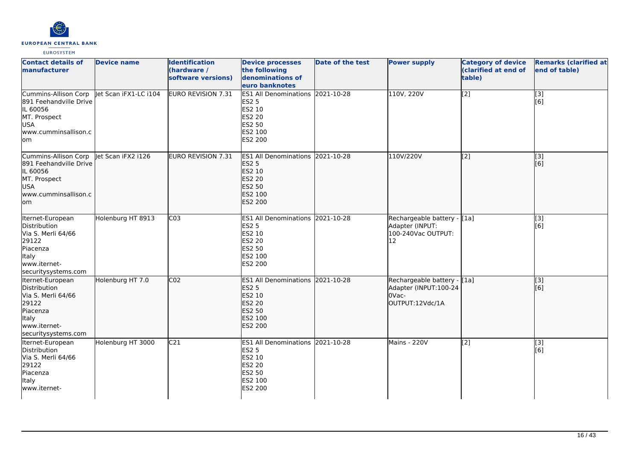

| <b>Contact details of</b><br>lmanufacturer                                                                                      | <b>Device name</b>    | <b>Identification</b><br>(hardware /<br>software versions) | <b>Device processes</b><br>the following<br>denominations of<br>euro banknotes                                     | <b>Date of the test</b> | <b>Power supply</b>                                                              | <b>Category of device</b><br>(clarified at end of<br>table) | <b>Remarks (clarified at</b><br>end of table) |
|---------------------------------------------------------------------------------------------------------------------------------|-----------------------|------------------------------------------------------------|--------------------------------------------------------------------------------------------------------------------|-------------------------|----------------------------------------------------------------------------------|-------------------------------------------------------------|-----------------------------------------------|
| <b>Cummins-Allison Corp</b><br>891 Feehandville Drive<br>IL 60056<br>MT. Prospect<br><b>USA</b><br>lwww.cumminsallison.c<br>lom | let Scan iFX1-LC i104 | EURO REVISION 7.31                                         | ES1 All Denominations 2021-10-28<br><b>ES2 5</b><br>ES2 10<br>ES2 20<br>ES2 50<br>ES2 100<br>ES2 200               |                         | 110V, 220V                                                                       | [2]                                                         | $\overline{[3]}$<br>[6]                       |
| Cummins-Allison Corp<br>891 Feehandville Drive<br>IL 60056<br>MT. Prospect<br>lusa<br>www.cumminsallison.c<br>lom               | Jet Scan iFX2 i126    | EURO REVISION 7.31                                         | ES1 All Denominations 2021-10-28<br><b>ES2 5</b><br>ES2 10<br><b>ES2 20</b><br>ES2 50<br>ES2 100<br>ES2 200        |                         | 110V/220V                                                                        | [[2]                                                        | [3]<br>[[6]                                   |
| Iternet-European<br>Distribution<br>Via S. Merli 64/66<br>29122<br>Piacenza<br>Italy<br>www.iternet-<br>securitysystems.com     | Holenburg HT 8913     | $\overline{C03}$                                           | ES1 All Denominations 2021-10-28<br><b>ES2 5</b><br>ES2 10<br>ES2 20<br>ES2 50<br>ES2 100<br>ES2 200               |                         | Rechargeable battery - [1a]<br>Adapter (INPUT:<br>100-240Vac OUTPUT:<br>12       |                                                             | $\overline{[3]}$<br>[6]                       |
| Iternet-European<br>Distribution<br>Via S. Merli 64/66<br>29122<br>Piacenza<br>ltaly<br>www.iternet-<br>securitysystems.com     | Holenburg HT 7.0      | CO <sub>2</sub>                                            | ES1 All Denominations 2021-10-28<br><b>ES2 5</b><br>ES2 10<br>ES2 20<br><b>ES2 50</b><br>ES2 100<br><b>ES2 200</b> |                         | Rechargeable battery - [1a]<br>Adapter (INPUT:100-24<br>OVac-<br>OUTPUT:12Vdc/1A |                                                             | [3]<br>[6]                                    |
| Iternet-European<br>Distribution<br>Via S. Merli 64/66<br>29122<br>Piacenza<br>Italy<br>www.iternet-                            | Holenburg HT 3000     | C <sub>21</sub>                                            | ES1 All Denominations 2021-10-28<br><b>ES2 5</b><br>ES2 10<br>ES2 20<br>ES2 50<br>ES2 100<br>ES2 200               |                         | Mains - 220V                                                                     | [2]                                                         | [3]<br>[6]                                    |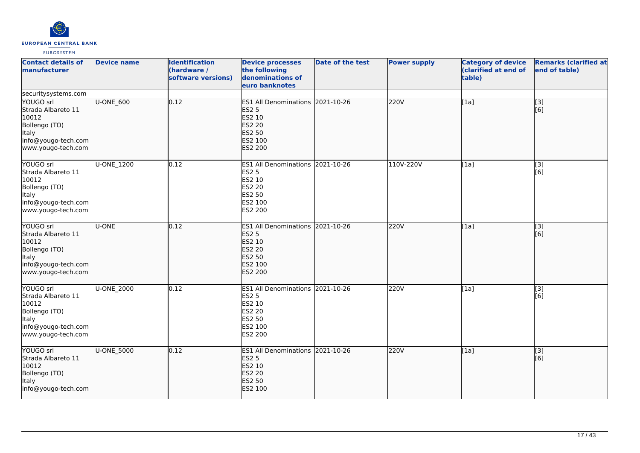

| <b>Contact details of</b><br>manufacturer                                                                                                     | <b>Device name</b> | <b>Identification</b><br>(hardware /<br>software versions) | <b>Device processes</b><br>the following<br>denominations of<br>euro banknotes                                        | <b>Date of the test</b> | <b>Power supply</b> | <b>Category of device</b><br>(clarified at end of<br>table) | <b>Remarks (clarified at</b><br>end of table) |
|-----------------------------------------------------------------------------------------------------------------------------------------------|--------------------|------------------------------------------------------------|-----------------------------------------------------------------------------------------------------------------------|-------------------------|---------------------|-------------------------------------------------------------|-----------------------------------------------|
| securitysystems.com<br>YOUGO srl<br>Strada Albareto 11<br>10012<br>Bollengo (TO)<br><b>Italy</b><br>info@yougo-tech.com<br>www.yougo-tech.com | U-ONE_600          | 0.12                                                       | ES1 All Denominations 2021-10-26<br><b>ES2 5</b><br>ES2 10<br><b>ES2 20</b><br>ES2 50<br>ES2 100<br><b>ES2 200</b>    |                         | 220V                | [1a]                                                        | [3]<br>[6]                                    |
| YOUGO srl<br>Strada Albareto 11<br>10012<br>Bollengo (TO)<br><b>Italy</b><br>info@yougo-tech.com<br>www.yougo-tech.com                        | U-ONE_1200         | 0.12                                                       | ES1 All Denominations 2021-10-26<br><b>ES2 5</b><br>ES2 10<br>ES2 20<br>ES2 50<br>ES2 100<br>ES2 200                  |                         | 110V-220V           | [1a]                                                        | $\overline{[3]}$<br>[6]                       |
| YOUGO srl<br>Strada Albareto 11<br>10012<br>Bollengo (TO)<br><b>Italy</b><br>info@yougo-tech.com<br>www.yougo-tech.com                        | U-ONE              | 0.12                                                       | <b>ES1 All Denominations</b><br><b>ES2 5</b><br>ES2 10<br><b>ES2 20</b><br><b>ES2 50</b><br>ES2 100<br><b>ES2 200</b> | 2021-10-26              | 220V                | [1a]                                                        | $\overline{[}3]$<br>[6]                       |
| YOUGO srl<br>Strada Albareto 11<br>10012<br>Bollengo (TO)<br><b>Italy</b><br>info@yougo-tech.com<br>www.yougo-tech.com                        | <b>U-ONE 2000</b>  | 0.12                                                       | ES1 All Denominations 2021-10-26<br>ES2 5<br>ES2 10<br>ES2 20<br>ES2 50<br>ES2 100<br>ES2 200                         |                         | 220V                | [1a]                                                        | $\overline{[3]}$<br>[6]                       |
| YOUGO srl<br>Strada Albareto 11<br>10012<br>Bollengo (TO)<br>Italy<br>info@yougo-tech.com                                                     | U-ONE_5000         | 0.12                                                       | ES1 All Denominations 2021-10-26<br><b>ES2 5</b><br>ES2 10<br><b>ES2 20</b><br><b>ES2 50</b><br>ES2 100               |                         | 220V                | [1a]                                                        | [3]<br>[6]                                    |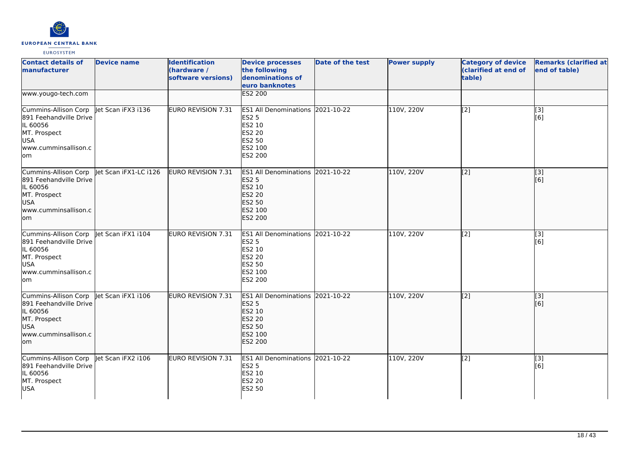

| <b>Contact details of</b><br>manufacturer                                                                               | <b>Device name</b>    | <b>Identification</b><br>(hardware /<br>software versions) | <b>Device processes</b><br>the following<br>denominations of<br>euro banknotes                                                   | Date of the test | <b>Power supply</b> | <b>Category of device</b><br>(clarified at end of<br>table) | <b>Remarks (clarified at</b><br>end of table) |
|-------------------------------------------------------------------------------------------------------------------------|-----------------------|------------------------------------------------------------|----------------------------------------------------------------------------------------------------------------------------------|------------------|---------------------|-------------------------------------------------------------|-----------------------------------------------|
| www.yougo-tech.com                                                                                                      |                       |                                                            | <b>ES2 200</b>                                                                                                                   |                  |                     |                                                             |                                               |
| Cummins-Allison Corp<br>891 Feehandville Drive<br>IL 60056<br>MT. Prospect<br><b>USA</b><br>www.cumminsallison.c<br>lom | let Scan iFX3 i136    | EURO REVISION 7.31                                         | ES1 All Denominations 2021-10-22<br><b>ES2 5</b><br>ES2 10<br><b>ES2 20</b><br>ES2 50<br>ES2 100<br>ES2 200                      |                  | 110V, 220V          | $\overline{[2]}$                                            | [3]<br>[6]                                    |
| Cummins-Allison Corp<br>891 Feehandville Drive<br>IL 60056<br>MT. Prospect<br><b>USA</b><br>www.cumminsallison.c<br>om  | Jet Scan iFX1-LC i126 | EURO REVISION 7.31                                         | ES1 All Denominations 2021-10-22<br><b>ES2 5</b><br><b>ES2 10</b><br><b>ES2 20</b><br><b>ES2 50</b><br>ES2 100<br><b>ES2 200</b> |                  | 110V, 220V          | $\overline{[2]}$                                            | $\overline{[}3]$<br>[6]                       |
| Cummins-Allison Corp<br>891 Feehandville Drive<br>IL 60056<br>MT. Prospect<br><b>USA</b><br>www.cumminsallison.c<br>lom | let Scan iFX1 i104    | EURO REVISION 7.31                                         | ES1 All Denominations 2021-10-22<br><b>ES2 5</b><br>ES2 10<br>ES2 20<br>ES2 50<br>ES2 100<br>ES2 200                             |                  | 110V, 220V          | [2]                                                         | [3]<br>[6]                                    |
| Cummins-Allison Corp<br>891 Feehandville Drive<br>IL 60056<br>MT. Prospect<br>USA<br>www.cumminsallison.c<br>om         | let Scan iFX1 i106    | EURO REVISION 7.31                                         | <b>ES1 All Denominations</b><br><b>ES2 5</b><br>ES2 10<br><b>ES2 20</b><br>ES2 50<br>ES2 100<br><b>ES2 200</b>                   | 2021-10-22       | 110V, 220V          | [[2]                                                        | [3]<br>[6]                                    |
| Cummins-Allison Corp<br>891 Feehandville Drive<br>IL 60056<br>MT. Prospect<br><b>USA</b>                                | let Scan iFX2 i106    | EURO REVISION 7.31                                         | ES1 All Denominations 2021-10-22<br><b>ES2 5</b><br>ES2 10<br>ES2 20<br><b>ES2 50</b>                                            |                  | 110V, 220V          | $\overline{[2]}$                                            | [3]<br>[6]                                    |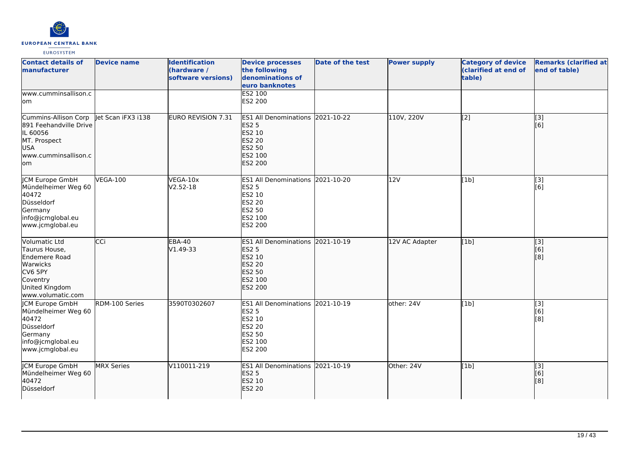

| <b>Contact details of</b><br>manufacturer                                                                                 | <b>Device name</b> | <b>Identification</b><br>(hardware /<br>software versions) | <b>Device processes</b><br>the following<br>denominations of<br>euro banknotes                                            | <b>Date of the test</b> | <b>Power supply</b> | <b>Category of device</b><br>(clarified at end of<br>table) | <b>Remarks (clarified at</b><br>end of table) |
|---------------------------------------------------------------------------------------------------------------------------|--------------------|------------------------------------------------------------|---------------------------------------------------------------------------------------------------------------------------|-------------------------|---------------------|-------------------------------------------------------------|-----------------------------------------------|
| www.cumminsallison.c<br>lom                                                                                               |                    |                                                            | <b>ES2 100</b><br>ES2 200                                                                                                 |                         |                     |                                                             |                                               |
| Cummins-Allison Corp<br>891 Feehandville Drive<br>IL 60056<br>MT. Prospect<br><b>USA</b><br>www.cumminsallison.c<br>lom   | let Scan iFX3 i138 | <b>EURO REVISION 7.31</b>                                  | <b>ES1 All Denominations</b><br><b>ES2 5</b><br>ES2 10<br><b>ES2 20</b><br><b>ES2 50</b><br>ES2 100<br><b>ES2 200</b>     | 2021-10-22              | 110V, 220V          | $\overline{[2]}$                                            | $\overline{[}3]$<br>[6]                       |
| JCM Europe GmbH<br>Mündelheimer Weg 60<br>40472<br>Düsseldorf<br>Germany<br>info@jcmglobal.eu<br>www.jcmglobal.eu         | <b>VEGA-100</b>    | VEGA-10x<br>$V2.52-18$                                     | ES1 All Denominations 2021-10-20<br><b>ES2 5</b><br>ES2 10<br><b>ES2 20</b><br><b>ES2 50</b><br>ES2 100<br><b>ES2 200</b> |                         | 12V                 | [1b]                                                        | [3]<br>[6]                                    |
| Volumatic Ltd<br>Taurus House,<br>Endemere Road<br>Warwicks<br>CV6 5PY<br>Coventry<br>United Kingdom<br>www.volumatic.com | <b>CCI</b>         | EBA-40<br>V1.49-33                                         | ES1 All Denominations 2021-10-19<br><b>ES2 5</b><br>ES2 10<br><b>ES2 20</b><br><b>ES2 50</b><br>ES2 100<br><b>ES2 200</b> |                         | 12V AC Adapter      | [1b]                                                        | [[3]<br>[6]<br>[8]                            |
| JCM Europe GmbH<br>Mündelheimer Weg 60<br>40472<br>Düsseldorf<br>Germany<br>info@jcmglobal.eu<br>www.jcmglobal.eu         | RDM-100 Series     | 3590T0302607                                               | ES1 All Denominations 2021-10-19<br><b>ES2 5</b><br>ES2 10<br><b>ES2 20</b><br><b>ES2 50</b><br>ES2 100<br><b>ES2 200</b> |                         | other: 24V          | [1b]                                                        | [3]<br>[6]<br>[8]                             |
| JCM Europe GmbH<br>Mündelheimer Weg 60<br>40472<br>Düsseldorf                                                             | MRX Series         | V110011-219                                                | ES1 All Denominations 2021-10-19<br><b>ES2 5</b><br>ES2 10<br><b>ES2 20</b>                                               |                         | Other: 24V          | [1b]                                                        | [3]<br>[6]<br>[8]                             |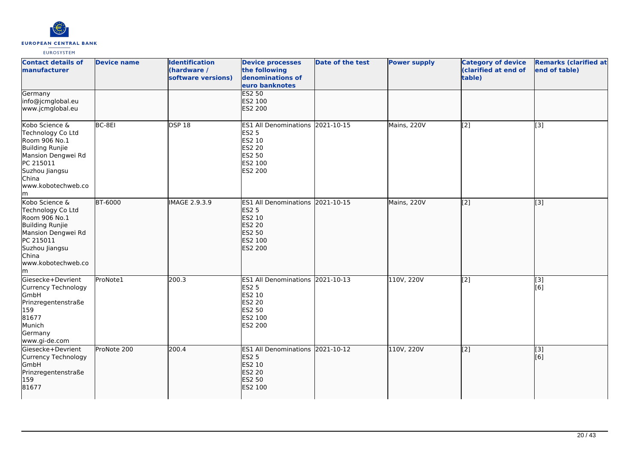

| <b>Contact details of</b><br>manufacturer                                                                                                                          | <b>Device name</b> | <b>Identification</b><br>(hardware /<br>software versions) | <b>Device processes</b><br>the following<br>denominations of<br>euro banknotes                              | Date of the test | <b>Power supply</b> | <b>Category of device</b><br>(clarified at end of<br>table) | <b>Remarks (clarified at</b><br>end of table) |
|--------------------------------------------------------------------------------------------------------------------------------------------------------------------|--------------------|------------------------------------------------------------|-------------------------------------------------------------------------------------------------------------|------------------|---------------------|-------------------------------------------------------------|-----------------------------------------------|
| Germany<br>info@jcmglobal.eu<br>www.jcmglobal.eu                                                                                                                   |                    |                                                            | <b>ES2 50</b><br>ES2 100<br>ES2 200                                                                         |                  |                     |                                                             |                                               |
| Kobo Science &<br>Technology Co Ltd<br>Room 906 No.1<br>Building Runjie<br>Mansion Dengwei Rd<br>PC 215011<br>Suzhou Jiangsu<br>China<br>www.kobotechweb.co<br>lm. | BC-8EI             | DSP18                                                      | ES1 All Denominations 2021-10-15<br><b>ES2 5</b><br>ES2 10<br>ES2 20<br>ES2 50<br>ES2 100<br>ES2 200        |                  | Mains, 220V         | $\overline{[2]}$                                            | [3]                                           |
| Kobo Science &<br>Technology Co Ltd<br>Room 906 No.1<br>Building Runjie<br>Mansion Dengwei Rd<br>PC 215011<br>Suzhou Jiangsu<br>China<br>www.kobotechweb.co<br>m   | <b>BT-6000</b>     | IMAGE 2.9.3.9                                              | ES1 All Denominations 2021-10-15<br><b>ES2 5</b><br>ES2 10<br>ES2 20<br>ES2 50<br>ES2 100<br><b>ES2 200</b> |                  | Mains, 220V         | $\overline{[2]}$                                            | $\overline{[}3]$                              |
| Giesecke+Devrient<br>Currency Technology<br>GmbH<br>Prinzregentenstraße<br>159<br>81677<br>Munich<br>Germany<br>www.gi-de.com                                      | ProNote1           | 200.3                                                      | ES1 All Denominations 2021-10-13<br><b>ES2 5</b><br>ES2 10<br>ES2 20<br>ES2 50<br>ES2 100<br>ES2 200        |                  | 110V, 220V          | $\overline{[2]}$                                            | $[3]$<br>[6]                                  |
| Giesecke+Devrient<br>Currency Technology<br>GmbH<br>Prinzregentenstraße<br>159<br>81677                                                                            | ProNote 200        | 200.4                                                      | ES1 All Denominations 2021-10-12<br><b>ES2 5</b><br>ES2 10<br><b>ES2 20</b><br><b>ES2 50</b><br>ES2 100     |                  | 110V, 220V          | [2]                                                         | $\overline{[}3]$<br>[6]                       |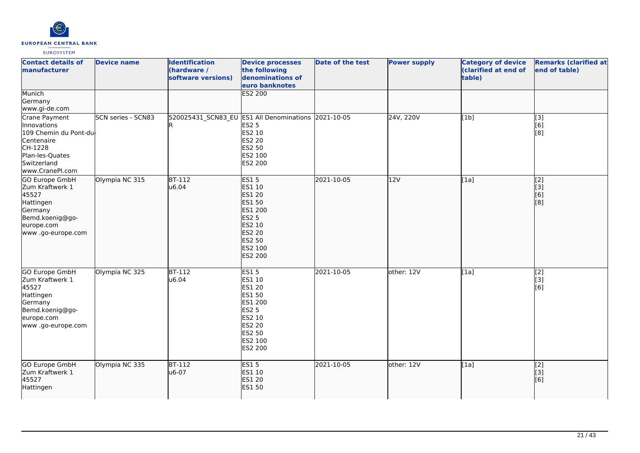

| <b>Contact details of</b><br><b>manufacturer</b>                                                                                     | <b>Device name</b>        | <b>Identification</b><br>(hardware /<br>software versions) | <b>Device processes</b><br>the following<br>denominations of<br>euro banknotes                                                                | <b>Date of the test</b> | <b>Power supply</b> | <b>Category of device</b><br>(clarified at end of<br>table) | <b>Remarks (clarified at</b><br>end of table)                             |
|--------------------------------------------------------------------------------------------------------------------------------------|---------------------------|------------------------------------------------------------|-----------------------------------------------------------------------------------------------------------------------------------------------|-------------------------|---------------------|-------------------------------------------------------------|---------------------------------------------------------------------------|
| Munich<br>Germany<br>www.gi-de.com                                                                                                   |                           |                                                            | <b>ES2 200</b>                                                                                                                                |                         |                     |                                                             |                                                                           |
| Crane Payment<br>Innovations<br>109 Chemin du Pont-du-<br>Centenaire<br>CH-1228<br>Plan-les-Quates<br>Switzerland<br>www.CranePI.com | <b>SCN series - SCN83</b> |                                                            | 520025431 SCN83 EU ES1 All Denominations 2021-10-05<br><b>ES2 5</b><br>ES2 10<br>ES2 20<br><b>ES2 50</b><br>ES2 100<br>ES2 200                |                         | 24V, 220V           | [1b]                                                        | $\overline{[3]}$<br>[6]<br>[8]                                            |
| GO Europe GmbH<br>Zum Kraftwerk 1<br>45527<br>Hattingen<br>Germany<br>Bemd.koenig@go-<br>europe.com<br>www .go-europe.com            | Olympia NC 315            | <b>BT-112</b><br>u6.04                                     | <b>ES15</b><br>ES1 10<br>ES1 20<br>ES1 50<br>ES1 200<br><b>ES2 5</b><br>ES2 10<br><b>ES2 20</b><br><b>ES2 50</b><br>ES2 100<br><b>ES2 200</b> | 2021-10-05              | 12V                 | [1a]                                                        | $\overline{[2]}$<br>$\begin{bmatrix} 1 & 3 \\ 6 & 1 \end{bmatrix}$<br>[8] |
| <b>GO Europe GmbH</b><br>Zum Kraftwerk 1<br>45527<br>Hattingen<br>Germany<br>Bemd.koenig@go-<br>europe.com<br>www .go-europe.com     | Olympia NC 325            | $BT-112$<br>u6.04                                          | <b>ES15</b><br>ES1 10<br>ES1 20<br>ES1 50<br>ES1 200<br><b>ES2 5</b><br>ES2 10<br><b>ES2 20</b><br>ES2 50<br>ES2 100<br>ES2 200               | 2021-10-05              | other: 12V          | [1a]                                                        | [2]<br>[3]<br>[6]                                                         |
| GO Europe GmbH<br>Zum Kraftwerk 1<br>45527<br>Hattingen                                                                              | Olympia NC 335            | <b>BT-112</b><br>u6-07                                     | <b>ES15</b><br>ES1 10<br><b>ES1 20</b><br><b>ES1 50</b>                                                                                       | 2021-10-05              | other: 12V          | [1a]                                                        | [2]<br>[3]<br>[6]                                                         |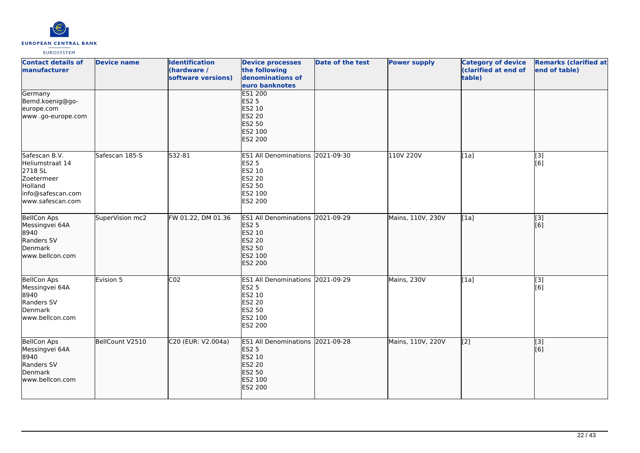

| <b>Contact details of</b><br>manufacturer                                                                     | <b>Device name</b> | <b>Identification</b><br>(hardware /<br>software versions) | <b>Device processes</b><br>the following<br>denominations of<br>euro banknotes                                     | Date of the test | <b>Power supply</b> | <b>Category of device</b><br>(clarified at end of<br>table) | <b>Remarks (clarified at</b><br>end of table) |
|---------------------------------------------------------------------------------------------------------------|--------------------|------------------------------------------------------------|--------------------------------------------------------------------------------------------------------------------|------------------|---------------------|-------------------------------------------------------------|-----------------------------------------------|
| Germany<br>Bemd.koenig@go-<br>europe.com<br>www.go-europe.com                                                 |                    |                                                            | <b>ES1 200</b><br><b>ES2 5</b><br>ES2 10<br><b>ES2 20</b><br><b>ES2 50</b><br>ES2 100<br>ES2 200                   |                  |                     |                                                             |                                               |
| Safescan B.V.<br>Heliumstraat 14<br>2718 SL<br>Zoetermeer<br>Holland<br>info@safescan.com<br>www.safescan.com | Safescan 185-S     | S32-81                                                     | ES1 All Denominations 2021-09-30<br>ES2 5<br>ES2 10<br>ES2 20<br>ES2 50<br>ES2 100<br>ES2 200                      |                  | 110V 220V           | [1a]                                                        | [3]<br>[6]                                    |
| BellCon Aps<br>Messingvei 64A<br>8940<br>Randers SV<br>Denmark<br>www.bellcon.com                             | SuperVision mc2    | FW 01.22, DM 01.36                                         | ES1 All Denominations 2021-09-29<br><b>ES2 5</b><br>ES2 10<br><b>ES2 20</b><br><b>ES2 50</b><br>ES2 100<br>ES2 200 |                  | Mains, 110V, 230V   | [1a]                                                        | $\overline{[3]}$<br>[6]                       |
| <b>BellCon Aps</b><br>Messingvei 64A<br>8940<br>Randers SV<br>Denmark<br>www.bellcon.com                      | Evision 5          | CO <sub>2</sub>                                            | ES1 All Denominations 2021-09-29<br><b>ES2 5</b><br>ES2 10<br>ES2 20<br>ES2 50<br>ES2 100<br>ES2 200               |                  | Mains, 230V         | [1a]                                                        | $[3]$<br>[6]                                  |
| <b>BellCon Aps</b><br>Messingvei 64A<br>8940<br>Randers SV<br>Denmark<br>www.bellcon.com                      | BellCount V2510    | C20 (EUR: V2.004a)                                         | ES1 All Denominations 2021-09-28<br><b>ES2 5</b><br>ES2 10<br><b>ES2 20</b><br>ES2 50<br>ES2 100<br>ES2 200        |                  | Mains, 110V, 220V   | $\overline{[2]}$                                            | $\overline{[3]}$<br>[6]                       |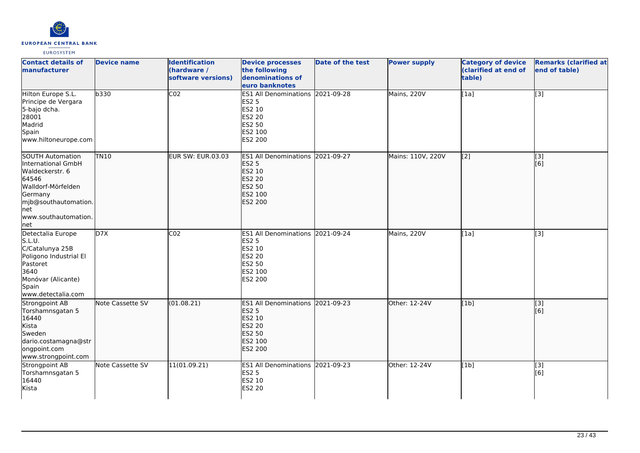

| <b>Contact details of</b><br>manufacturer                                                                                                                                   | <b>Device name</b> | <b>Identification</b><br>(hardware /<br>software versions) | <b>Device processes</b><br>the following<br>denominations of<br>euro banknotes                                     | Date of the test | <b>Power supply</b> | <b>Category of device</b><br>(clarified at end of<br>table) | <b>Remarks (clarified at</b><br>end of table) |
|-----------------------------------------------------------------------------------------------------------------------------------------------------------------------------|--------------------|------------------------------------------------------------|--------------------------------------------------------------------------------------------------------------------|------------------|---------------------|-------------------------------------------------------------|-----------------------------------------------|
| Hilton Europe S.L.<br>Principe de Vergara<br>5-bajo dcha.<br>28001<br>Madrid<br>Spain<br>www.hiltoneurope.com                                                               | b330               | CO <sub>2</sub>                                            | ES1 All Denominations 2021-09-28<br><b>ES2 5</b><br>ES2 10<br><b>ES2 20</b><br>ES2 50<br>ES2 100<br>ES2 200        |                  | Mains, 220V         | [1a]                                                        | [3]                                           |
| SOUTH Automation<br>International GmbH<br>Waldeckerstr. 6<br>64546<br>Walldorf-Mörfelden<br>Germany<br>mjb@southautomation.<br><b>I</b> net<br>www.southautomation.<br> net | TN10               | EUR SW: EUR.03.03                                          | ES1 All Denominations 2021-09-27<br><b>ES2 5</b><br>ES2 10<br><b>ES2 20</b><br>ES2 50<br>ES2 100<br>ES2 200        |                  | Mains: 110V, 220V   | [2]                                                         | [3]<br>[6]                                    |
| Detectalia Europe<br>S.L.U.<br>C/Catalunya 25B<br>Poligono Industrial El<br>Pastoret<br>3640<br>Monóvar (Alicante)<br>Spain<br>www.detectalia.com                           | D7X                | CO <sub>2</sub>                                            | <b>ES1 All Denominations</b><br><b>ES2 5</b><br>ES2 10<br>ES2 20<br><b>ES2 50</b><br>ES2 100<br><b>ES2 200</b>     | 2021-09-24       | Mains, 220V         | [1a]                                                        | [3]                                           |
| Strongpoint AB<br>Torshamnsgatan 5<br>16440<br>Kista<br>Sweden<br>dario.costamagna@str<br>ongpoint.com<br>www.strongpoint.com                                               | Note Cassette SV   | (01.08.21)                                                 | ES1 All Denominations 2021-09-23<br><b>ES2 5</b><br>ES2 10<br>ES2 20<br><b>ES2 50</b><br>ES2 100<br><b>ES2 200</b> |                  | Other: 12-24V       | [1b]                                                        | $\overline{[}3]$<br>[6]                       |
| Strongpoint AB<br>Torshamnsgatan 5<br>16440<br>Kista                                                                                                                        | Note Cassette SV   | 11(01.09.21)                                               | ES1 All Denominations 2021-09-23<br><b>ES2 5</b><br>ES2 10<br><b>ES2 20</b>                                        |                  | Other: 12-24V       | [1b]                                                        | [3]<br>[6]                                    |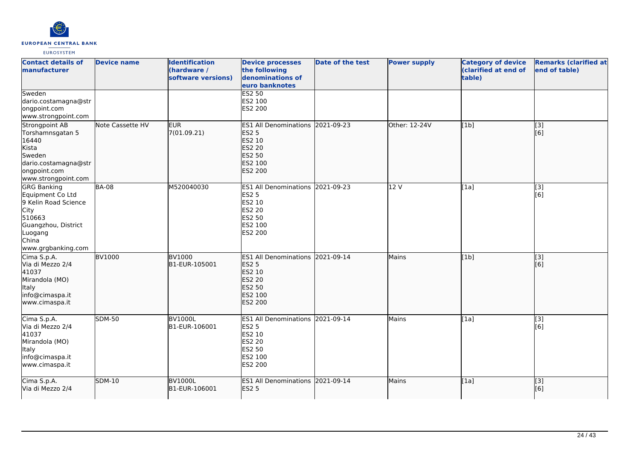

| <b>Contact details of</b><br><b>manufacturer</b>                                                                                                  | <b>Device name</b> | <b>Identification</b><br>(hardware /<br>software versions) | <b>Device processes</b><br>the following<br>denominations of<br>euro banknotes                                            | Date of the test | <b>Power supply</b> | <b>Category of device</b><br>(clarified at end of<br>table) | <b>Remarks (clarified at</b><br>end of table) |
|---------------------------------------------------------------------------------------------------------------------------------------------------|--------------------|------------------------------------------------------------|---------------------------------------------------------------------------------------------------------------------------|------------------|---------------------|-------------------------------------------------------------|-----------------------------------------------|
| Sweden<br>dario.costamagna@str<br>ongpoint.com<br>www.strongpoint.com                                                                             |                    |                                                            | <b>ES2 50</b><br>ES2 100<br>ES2 200                                                                                       |                  |                     |                                                             |                                               |
| Strongpoint AB<br>Torshamnsgatan 5<br>16440<br>Kista<br>Sweden<br>dario.costamagna@str<br>ongpoint.com<br>www.strongpoint.com                     | Note Cassette HV   | <b>EUR</b><br>7(01.09.21)                                  | ES1 All Denominations 2021-09-23<br><b>ES2 5</b><br>ES2 10<br><b>ES2 20</b><br><b>ES2 50</b><br>ES2 100<br><b>ES2 200</b> |                  | Other: 12-24V       | [1b]                                                        | $\overline{[}3]$<br>[6]                       |
| <b>GRG Banking</b><br>Equipment Co Ltd<br>9 Kelin Road Science<br>City<br>510663<br>Guangzhou, District<br>Luogang<br>China<br>www.grgbanking.com | <b>BA-08</b>       | M520040030                                                 | <b>ES1 All Denominations</b><br><b>ES2 5</b><br>ES2 10<br><b>ES2 20</b><br><b>ES2 50</b><br>ES2 100<br>ES2 200            | 2021-09-23       | 12 V                | [1a]                                                        | [3]<br>[6]                                    |
| Cima S.p.A.<br>Via di Mezzo 2/4<br>41037<br>Mirandola (MO)<br><b>Italy</b><br>info@cimaspa.it<br>www.cimaspa.it                                   | <b>BV1000</b>      | <b>BV1000</b><br>B1-EUR-105001                             | ES1 All Denominations 2021-09-14<br><b>ES2 5</b><br>ES2 10<br><b>ES2 20</b><br><b>ES2 50</b><br>ES2 100<br><b>ES2 200</b> |                  | Mains               | [1b]                                                        | $\overline{[}3]$<br>[6]                       |
| Cima S.p.A.<br>Via di Mezzo 2/4<br>41037<br>Mirandola (MO)<br><b>Italy</b><br>info@cimaspa.it<br>www.cimaspa.it                                   | <b>SDM-50</b>      | <b>BV1000L</b><br>B1-EUR-106001                            | <b>ES1 All Denominations</b><br><b>ES2 5</b><br><b>ES2 10</b><br><b>ES2 20</b><br><b>ES2 50</b><br>ES2 100<br>ES2 200     | 2021-09-14       | Mains               | [1a]                                                        | [3]<br>[6]                                    |
| Cima S.p.A.<br>Via di Mezzo 2/4                                                                                                                   | <b>SDM-10</b>      | <b>BV1000L</b><br>B1-EUR-106001                            | <b>ES1 All Denominations</b><br><b>ES2 5</b>                                                                              | 2021-09-14       | Mains               | [1a]                                                        | [[3]<br>[6]                                   |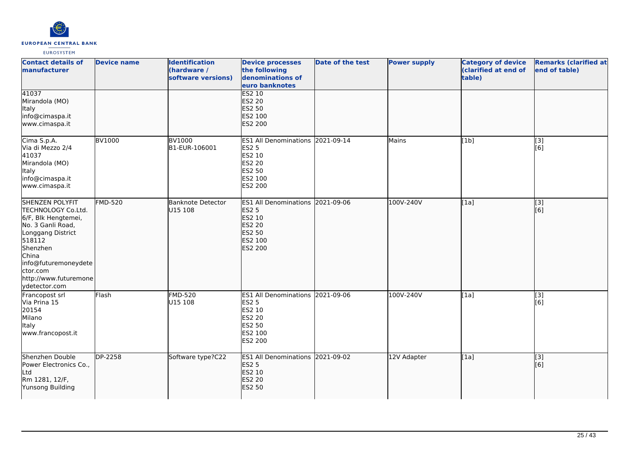

| <b>Contact details of</b><br>manufacturer                                                                                                                                                                           | <b>Device name</b> | <b>Identification</b><br>(hardware /<br>software versions) | <b>Device processes</b><br>the following<br>denominations of<br>euro banknotes                                     | <b>Date of the test</b> | <b>Power supply</b> | <b>Category of device</b><br>(clarified at end of<br>table) | <b>Remarks (clarified at</b><br>end of table) |
|---------------------------------------------------------------------------------------------------------------------------------------------------------------------------------------------------------------------|--------------------|------------------------------------------------------------|--------------------------------------------------------------------------------------------------------------------|-------------------------|---------------------|-------------------------------------------------------------|-----------------------------------------------|
| 41037<br>Mirandola (MO)<br>Italy<br>info@cimaspa.it<br>www.cimaspa.it                                                                                                                                               |                    |                                                            | <b>ES2 10</b><br>ES2 20<br><b>ES2 50</b><br>ES2 100<br><b>ES2 200</b>                                              |                         |                     |                                                             |                                               |
| Cima S.p.A.<br>Via di Mezzo 2/4<br>41037<br>Mirandola (MO)<br>Italy<br>info@cimaspa.it<br>www.cimaspa.it                                                                                                            | <b>BV1000</b>      | <b>BV1000</b><br>B1-EUR-106001                             | ES1 All Denominations 2021-09-14<br>ES2 5<br>ES2 10<br>ES2 20<br>ES2 50<br>ES2 100<br>ES2 200                      |                         | Mains               | [1b]                                                        | $\overline{[3]}$<br>[6]                       |
| SHENZEN POLYFIT<br>TECHNOLOGY Co.Ltd.<br>6/F, Blk Hengtemei,<br>No. 3 Ganli Road,<br>Longgang District<br>518112<br>Shenzhen<br>China<br>info@futuremoneydete<br>ctor.com<br>http://www.futuremone<br>ydetector.com | <b>FMD-520</b>     | <b>Banknote Detector</b><br>U15 108                        | ES1 All Denominations 2021-09-06<br><b>ES2 5</b><br>ES2 10<br><b>ES2 20</b><br><b>ES2 50</b><br>ES2 100<br>ES2 200 |                         | 100V-240V           | [1a]                                                        | $\overline{[}$ [3]<br>[6]                     |
| Francopost srl<br>Via Prina 15<br>20154<br>Milano<br>Italy<br>www.francopost.it                                                                                                                                     | Flash              | <b>FMD-520</b><br>U15 108                                  | ES1 All Denominations 2021-09-06<br>ES2 5<br>ES2 10<br>ES2 20<br>ES2 50<br>ES2 100<br>ES2 200                      |                         | 100V-240V           | [1a]                                                        | $\overline{[3]}$<br>[6]                       |
| Shenzhen Double<br>Power Electronics Co.,<br>Ltd<br>Rm 1281, 12/F,<br>Yunsong Building                                                                                                                              | DP-2258            | Software type?C22                                          | ES1 All Denominations 2021-09-02<br><b>ES2 5</b><br>ES2 10<br><b>ES2 20</b><br><b>ES2 50</b>                       |                         | 12V Adapter         | [1a]                                                        | $\overline{[}3]$<br>[6]                       |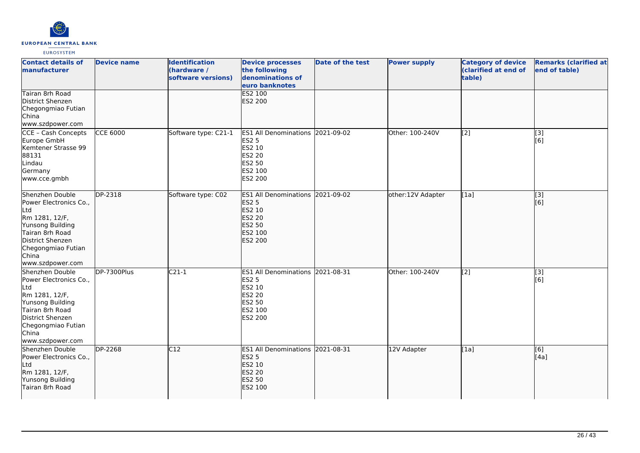

| <b>Contact details of</b><br>manufacturer                                                                                                                                        | <b>Device name</b> | <b>Identification</b><br>(hardware /<br>software versions) | <b>Device processes</b><br>the following<br>denominations of<br>euro banknotes                                            | Date of the test | <b>Power supply</b> | <b>Category of device</b><br>(clarified at end of<br>table) | <b>Remarks (clarified at</b><br>end of table) |
|----------------------------------------------------------------------------------------------------------------------------------------------------------------------------------|--------------------|------------------------------------------------------------|---------------------------------------------------------------------------------------------------------------------------|------------------|---------------------|-------------------------------------------------------------|-----------------------------------------------|
| Tairan 8rh Road<br>District Shenzen<br>Chegongmiao Futian<br>China<br>www.szdpower.com                                                                                           |                    |                                                            | ES2 100<br><b>ES2 200</b>                                                                                                 |                  |                     |                                                             |                                               |
| CCE - Cash Concepts<br>Europe GmbH<br>Kemtener Strasse 99<br>88131<br>Lindau<br>Germany<br>www.cce.gmbh                                                                          | <b>CCE 6000</b>    | Software type: C21-1                                       | <b>ES1 All Denominations</b><br><b>ES2 5</b><br>ES2 10<br><b>ES2 20</b><br><b>ES2 50</b><br>ES2 100<br>ES2 200            | 2021-09-02       | Other: 100-240V     | [2]                                                         | [3]<br>[6]                                    |
| Shenzhen Double<br>Power Electronics Co.,<br>Ltd<br>Rm 1281, 12/F,<br>Yunsong Building<br>Tairan 8rh Road<br>District Shenzen<br>Chegongmiao Futian<br>China<br>www.szdpower.com | DP-2318            | Software type: C02                                         | ES1 All Denominations 2021-09-02<br><b>ES2 5</b><br>ES2 10<br><b>ES2 20</b><br><b>ES2 50</b><br>ES2 100<br><b>ES2 200</b> |                  | other:12V Adapter   | [[1a]                                                       | [3]<br>[6]                                    |
| Shenzhen Double<br>Power Electronics Co.,<br>Ltd<br>Rm 1281, 12/F,<br>Yunsong Building<br>Tairan 8rh Road<br>District Shenzen<br>Chegongmiao Futian<br>China<br>www.szdpower.com | DP-7300Plus        | $C21-1$                                                    | ES1 All Denominations 2021-08-31<br><b>ES2 5</b><br>ES2 10<br><b>ES2 20</b><br>ES2 50<br>ES2 100<br>ES2 200               |                  | Other: 100-240V     | $\overline{[2]}$                                            | [3]<br>[6]                                    |
| Shenzhen Double<br>Power Electronics Co.,<br>Ltd<br>Rm 1281, 12/F,<br>Yunsong Building<br>Tairan 8rh Road                                                                        | <b>DP-2268</b>     | C12                                                        | ES1 All Denominations 2021-08-31<br><b>ES2 5</b><br>ES2 10<br><b>ES2 20</b><br>ES2 50<br>ES2 100                          |                  | 12V Adapter         | [1a]                                                        | [6]<br>[4a]                                   |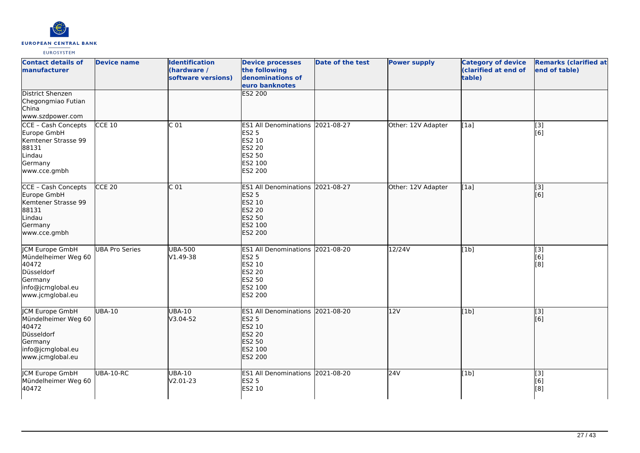

| <b>Contact details of</b><br>manufacturer                                                                                | <b>Device name</b>    | <b>Identification</b><br>(hardware /<br>software versions) | <b>Device processes</b><br>the following<br>denominations of<br>euro banknotes                              | <b>Date of the test</b> | <b>Power supply</b> | <b>Category of device</b><br>(clarified at end of<br>table) | <b>Remarks (clarified at</b><br>end of table)             |
|--------------------------------------------------------------------------------------------------------------------------|-----------------------|------------------------------------------------------------|-------------------------------------------------------------------------------------------------------------|-------------------------|---------------------|-------------------------------------------------------------|-----------------------------------------------------------|
| <b>District Shenzen</b><br>Chegongmiao Futian<br>China<br>www.szdpower.com                                               |                       |                                                            | ES2 200                                                                                                     |                         |                     |                                                             |                                                           |
| CCE - Cash Concepts<br>Europe GmbH<br>Kemtener Strasse 99<br>88131<br>Lindau<br>Germany<br>www.cce.gmbh                  | $CCE$ 10              | $\overline{C}$ 01                                          | ES1 All Denominations 2021-08-27<br><b>ES2 5</b><br>ES2 10<br>ES2 20<br>ES2 50<br>ES2 100<br>ES2 200        |                         | Other: 12V Adapter  | [1a]                                                        | [3]<br>[6]                                                |
| CCE - Cash Concepts<br>Europe GmbH<br>Kemtener Strasse 99<br>88131<br>Lindau<br>Germany<br>www.cce.gmbh                  | $CCE$ 20              | $\overline{C}$ 01                                          | <b>ES1 All Denominations</b><br><b>ES2 5</b><br>ES2 10<br>ES2 20<br><b>ES2 50</b><br>ES2 100<br>ES2 200     | 2021-08-27              | Other: 12V Adapter  | [1a]                                                        | $\left[ \begin{matrix} 1 & 3 \end{matrix} \right]$<br>[6] |
| <b>JCM Europe GmbH</b><br>Mündelheimer Weg 60<br>40472<br>Düsseldorf<br>Germany<br>info@jcmglobal.eu<br>www.jcmglobal.eu | <b>UBA Pro Series</b> | <b>UBA-500</b><br>V1.49-38                                 | ES1 All Denominations 2021-08-20<br><b>ES2 5</b><br>ES2 10<br><b>ES2 20</b><br>ES2 50<br>ES2 100<br>ES2 200 |                         | 12/24V              | [1b]                                                        | $\overline{[3]}$<br>[6]<br>[8]                            |
| JCM Europe GmbH<br>Mündelheimer Weg 60<br>40472<br>Düsseldorf<br>Germany<br>info@jcmglobal.eu<br>www.jcmglobal.eu        | UBA-10                | <b>UBA-10</b><br>V3.04-52                                  | ES1 All Denominations 2021-08-20<br><b>ES2 5</b><br>ES2 10<br>ES2 20<br>ES2 50<br>ES2 100<br><b>ES2 200</b> |                         | 12V                 | [1b]                                                        | $\overline{[}3]$<br>[6]                                   |
| JCM Europe GmbH<br>Mündelheimer Weg 60<br>40472                                                                          | UBA-10-RC             | UBA-10<br>V2.01-23                                         | ES1 All Denominations 2021-08-20<br><b>ES2 5</b><br>ES2 10                                                  |                         | 24V                 | [1b]                                                        | [3]<br>[6]<br>[8]                                         |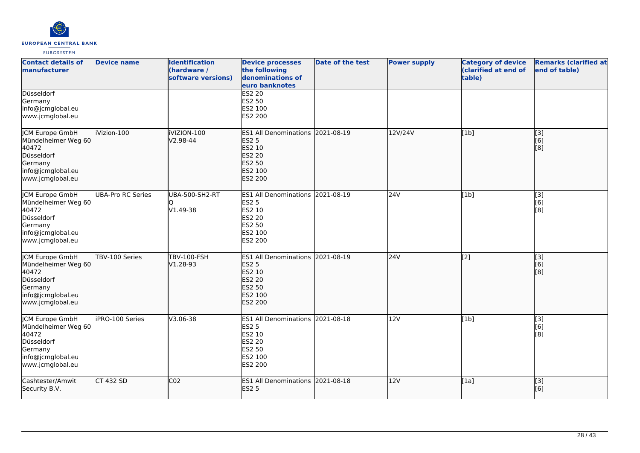

| <b>Contact details of</b><br><b>manufacturer</b>                                                                         | <b>Device name</b>       | <b>Identification</b><br>(hardware /<br>software versions) | <b>Device processes</b><br>the following<br>denominations of<br>euro banknotes                                     | <b>Date of the test</b> | <b>Power supply</b> | <b>Category of device</b><br>(clarified at end of<br>table) | <b>Remarks (clarified at</b><br>end of table) |
|--------------------------------------------------------------------------------------------------------------------------|--------------------------|------------------------------------------------------------|--------------------------------------------------------------------------------------------------------------------|-------------------------|---------------------|-------------------------------------------------------------|-----------------------------------------------|
| Düsseldorf<br>Germany<br>info@jcmglobal.eu<br>www.jcmglobal.eu                                                           |                          |                                                            | <b>ES2 20</b><br>ES2 50<br>ES2 100<br>ES2 200                                                                      |                         |                     |                                                             |                                               |
| JCM Europe GmbH<br>Mündelheimer Weg 60<br>40472<br>Düsseldorf<br>Germany<br>info@jcmglobal.eu<br>www.jcmglobal.eu        | iVizion-100              | <b>iVIZION-100</b><br>V2.98-44                             | ES1 All Denominations 2021-08-19<br><b>ES2 5</b><br>ES2 10<br>ES2 20<br>ES2 50<br>ES2 100<br>ES2 200               |                         | 12V/24V             | [1b]                                                        | [3]<br>[6]<br>[8]                             |
| <b>JCM Europe GmbH</b><br>Mündelheimer Weg 60<br>40472<br>Düsseldorf<br>Germany<br>info@jcmglobal.eu<br>www.jcmglobal.eu | <b>UBA-Pro RC Series</b> | UBA-500-SH2-RT<br>V1.49-38                                 | <b>ES1 All Denominations</b><br><b>ES2 5</b><br>ES2 10<br>ES2 20<br>ES2 50<br>ES2 100<br>ES2 200                   | 2021-08-19              | 24V                 | [1b]                                                        | $\overline{[3]}$<br>[6]<br>[8]                |
| JCM Europe GmbH<br>Mündelheimer Weg 60<br>40472<br>Düsseldorf<br>Germany<br>info@jcmglobal.eu<br>www.jcmglobal.eu        | TBV-100 Series           | <b>TBV-100-FSH</b><br>V1.28-93                             | ES1 All Denominations 2021-08-19<br><b>ES2 5</b><br>ES2 10<br>ES2 20<br><b>ES2 50</b><br>ES2 100<br><b>ES2 200</b> |                         | 24V                 | $\sqrt{2}$                                                  | [3]<br>[6]<br>[8]                             |
| JCM Europe GmbH<br>Mündelheimer Weg 60<br>40472<br>Düsseldorf<br>Germany<br>info@jcmglobal.eu<br>www.jcmglobal.eu        | iPRO-100 Series          | V3.06-38                                                   | ES1 All Denominations 2021-08-18<br>ES2 5<br>ES2 10<br><b>ES2 20</b><br><b>ES2 50</b><br>ES2 100<br>ES2 200        |                         | 12V                 | [1b]                                                        | [3]<br>[6]<br>[8]                             |
| Cashtester/Amwit<br>Security B.V.                                                                                        | CT 432 SD                | CO <sub>2</sub>                                            | ES1 All Denominations 2021-08-18<br><b>ES2 5</b>                                                                   |                         | 12V                 | [1a]                                                        | $\overline{[}$ [3]<br>[6]                     |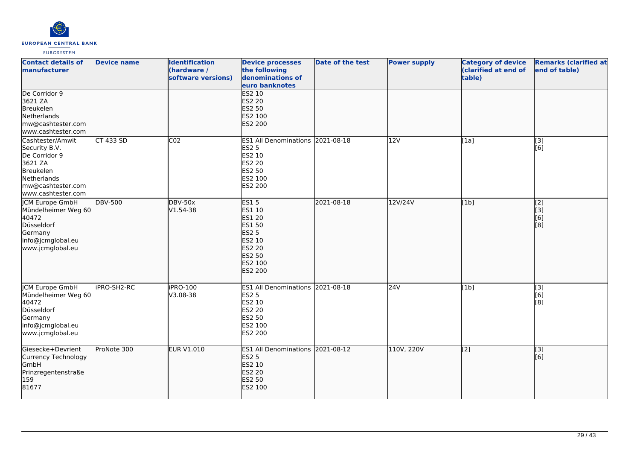

| <b>Contact details of</b><br>manufacturer                                                                                            | <b>Device name</b> | <b>Identification</b><br>(hardware /<br>software versions) | <b>Device processes</b><br>the following<br>denominations of<br>euro banknotes                                              | <b>Date of the test</b> | <b>Power supply</b> | <b>Category of device</b><br>(clarified at end of<br>table) | <b>Remarks (clarified at</b><br>end of table) |
|--------------------------------------------------------------------------------------------------------------------------------------|--------------------|------------------------------------------------------------|-----------------------------------------------------------------------------------------------------------------------------|-------------------------|---------------------|-------------------------------------------------------------|-----------------------------------------------|
| De Corridor 9<br>3621 ZA<br>Breukelen<br>Netherlands<br>mw@cashtester.com<br>www.cashtester.com                                      |                    |                                                            | <b>ES2 10</b><br><b>ES2 20</b><br>ES2 50<br>ES2 100<br>ES2 200                                                              |                         |                     |                                                             |                                               |
| Cashtester/Amwit<br>Security B.V.<br>De Corridor 9<br>3621 ZA<br>Breukelen<br>Netherlands<br>mw@cashtester.com<br>www.cashtester.com | <b>CT 433 SD</b>   | CO <sub>2</sub>                                            | ES1 All Denominations 2021-08-18<br>ES2 5<br>ES2 10<br>ES2 20<br>ES2 50<br>ES2 100<br>ES2 200                               |                         | 12V                 | [1a]                                                        | $\overline{[3]}$<br>[6]                       |
| JCM Europe GmbH<br>Mündelheimer Weg 60<br>40472<br>Düsseldorf<br>Germany<br>info@jcmglobal.eu<br>www.jcmglobal.eu                    | <b>DBV-500</b>     | <b>DBV-50x</b><br>V1.54-38                                 | <b>ES15</b><br>ES1 10<br>ES1 20<br><b>ES1 50</b><br><b>ES2 5</b><br>ES2 10<br><b>ES2 20</b><br>ES2 50<br>ES2 100<br>ES2 200 | 2021-08-18              | 12V/24V             | [1b]                                                        | [2]<br>[3]<br>[6]<br>[8]                      |
| <b>CM Europe GmbH</b><br>Mündelheimer Weg 60<br>40472<br>Düsseldorf<br>Germany<br>info@jcmglobal.eu<br>www.jcmglobal.eu              | iPRO-SH2-RC        | iPRO-100<br>V3.08-38                                       | <b>ES1 All Denominations</b><br><b>ES2 5</b><br>ES2 10<br>ES2 20<br>ES2 50<br>ES2 100<br>ES2 200                            | 2021-08-18              | 24V                 | [1b]                                                        | [3]<br>[6]<br>[8]                             |
| Giesecke+Devrient<br>Currency Technology<br><b>GmbH</b><br>Prinzregentenstraße<br>159<br>81677                                       | ProNote 300        | <b>EUR V1.010</b>                                          | ES1 All Denominations 2021-08-12<br><b>ES2 5</b><br>ES2 10<br>ES2 20<br>ES2 50<br>ES2 100                                   |                         | 110V, 220V          | $\overline{[2]}$                                            | $\overline{[}3]$<br>[6]                       |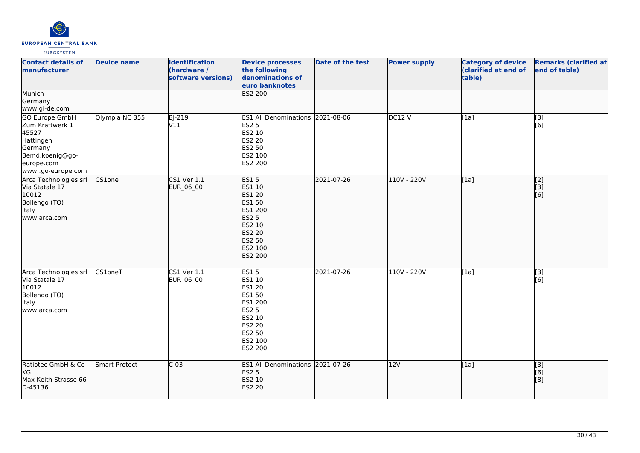

| <b>Contact details of</b><br><b>manufacturer</b>                                                                                 | <b>Device name</b> | <b>Identification</b><br>(hardware /<br>software versions) | <b>Device processes</b><br>the following<br>denominations of<br>euro banknotes                                                                       | <b>Date of the test</b> | <b>Power supply</b> | <b>Category of device</b><br>(clarified at end of<br>table) | <b>Remarks (clarified at</b><br>end of table) |
|----------------------------------------------------------------------------------------------------------------------------------|--------------------|------------------------------------------------------------|------------------------------------------------------------------------------------------------------------------------------------------------------|-------------------------|---------------------|-------------------------------------------------------------|-----------------------------------------------|
| Munich<br>Germany<br>www.gi-de.com                                                                                               |                    |                                                            | <b>ES2 200</b>                                                                                                                                       |                         |                     |                                                             |                                               |
| <b>GO Europe GmbH</b><br>Zum Kraftwerk 1<br>45527<br>Hattingen<br>Germany<br>Bemd.koenig@go-<br>europe.com<br>www .go-europe.com | Olympia NC 355     | <b>BJ-219</b><br>V11                                       | ES1 All Denominations 2021-08-06<br><b>ES2 5</b><br>ES2 10<br>ES2 20<br>ES2 50<br>ES2 100<br>ES2 200                                                 |                         | DC12V               | [1a]                                                        | [3]<br>[6]                                    |
| Arca Technologies srl<br>Via Statale 17<br>10012<br>Bollengo (TO)<br>Italy<br>www.arca.com                                       | CS1one             | $CS1$ Ver $1.1$<br>EUR_06_00                               | <b>ES15</b><br>ES1 10<br>ES1 20<br><b>ES1 50</b><br>ES1 200<br><b>ES2 5</b><br><b>ES2 10</b><br><b>ES2 20</b><br>ES2 50<br>ES2 100<br><b>ES2 200</b> | 2021-07-26              | 110V - 220V         | [1a]                                                        | [2]<br>[[3]<br>$\overline{[}6\overline{)}$    |
| Arca Technologies srl<br>Via Statale 17<br>10012<br>Bollengo (TO)<br>Italy<br>www.arca.com                                       | CS1oneT            | $CS1$ Ver $1.1$<br>EUR_06_00                               | <b>ES15</b><br>ES1 10<br><b>ES1 20</b><br>ES1 50<br>ES1 200<br><b>ES2 5</b><br>ES2 10<br>ES2 20<br>ES2 50<br>ES2 100<br>ES2 200                      | 2021-07-26              | 110V - 220V         | [1a]                                                        | [3]<br>[6]                                    |
| Ratiotec GmbH & Co<br>kG<br>Max Keith Strasse 66<br>D-45136                                                                      | Smart Protect      | $C-03$                                                     | ES1 All Denominations 2021-07-26<br><b>ES2 5</b><br>ES2 10<br><b>ES2 20</b>                                                                          |                         | 12V                 | [1a]                                                        | [3]<br>[6]<br>[8]                             |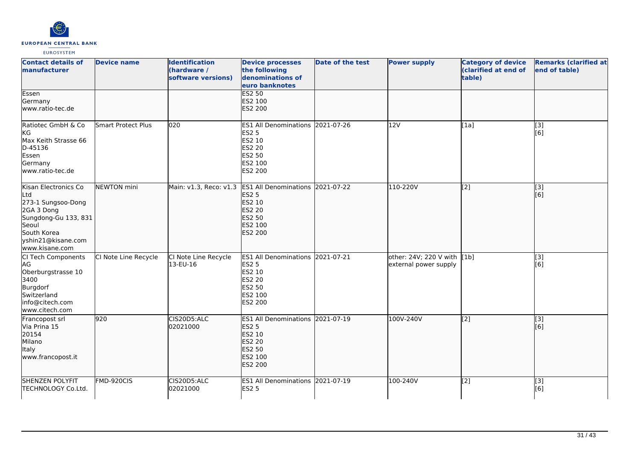

| <b>Contact details of</b><br><b>manufacturer</b>                                                                                                                | <b>Device name</b>        | <b>Identification</b><br>(hardware /<br>software versions) | <b>Device processes</b><br>the following<br>denominations of<br>euro banknotes                                     | <b>Date of the test</b> | <b>Power supply</b>                                  | <b>Category of device</b><br>(clarified at end of<br>table) | <b>Remarks (clarified at</b><br>end of table) |
|-----------------------------------------------------------------------------------------------------------------------------------------------------------------|---------------------------|------------------------------------------------------------|--------------------------------------------------------------------------------------------------------------------|-------------------------|------------------------------------------------------|-------------------------------------------------------------|-----------------------------------------------|
| Essen<br>Germany<br>www.ratio-tec.de                                                                                                                            |                           |                                                            | ES2 50<br>ES2 100<br>ES2 200                                                                                       |                         |                                                      |                                                             |                                               |
| Ratiotec GmbH & Co<br>KG<br>Max Keith Strasse 66<br>D-45136<br>Essen<br>Germany<br>www.ratio-tec.de                                                             | <b>Smart Protect Plus</b> | 020                                                        | ES1 All Denominations 2021-07-26<br><b>ES2 5</b><br>ES2 10<br><b>ES2 20</b><br>ES2 50<br>ES2 100<br>ES2 200        |                         | 12V                                                  | [1a]                                                        | [3]<br>[6]                                    |
| Kisan Electronics Co<br>Ltd<br>273-1 Sungsoo-Dong<br>2GA 3 Dong<br>Sungdong-Gu 133, 831<br><b>Seoul</b><br>South Korea<br>yshin21@kisane.com<br>lwww.kisane.com | <b>NEWTON</b> mini        | Main: v1.3, Reco: v1.3                                     | ES1 All Denominations 2021-07-22<br><b>ES2 5</b><br>ES2 10<br><b>ES2 20</b><br><b>ES2 50</b><br>ES2 100<br>ES2 200 |                         | 110-220V                                             | [[2]                                                        | [3]<br>[[6]                                   |
| CI Tech Components<br>AG<br>Oberburgstrasse 10<br>3400<br>Burgdorf<br>Switzerland<br>info@citech.com<br>www.citech.com                                          | CI Note Line Recycle      | CI Note Line Recycle<br>13-EU-16                           | ES1 All Denominations 2021-07-21<br><b>ES2 5</b><br>ES2 10<br><b>ES2 20</b><br>ES2 50<br>ES2 100<br>ES2 200        |                         | other: 24V; 220 V with [1b]<br>external power supply |                                                             | [3]<br>[6]                                    |
| Francopost srl<br>Via Prina 15<br>20154<br>Milano<br>Italy<br>www.francopost.it                                                                                 | 920                       | CIS20D5:ALC<br>02021000                                    | ES1 All Denominations 2021-07-19<br><b>ES2 5</b><br>ES2 10<br><b>ES2 20</b><br><b>ES2 50</b><br>ES2 100<br>ES2 200 |                         | 100V-240V                                            | $\overline{[2]}$                                            | $\overline{[}3]$<br>[[6]                      |
| <b>SHENZEN POLYFIT</b><br>TECHNOLOGY Co.Ltd.                                                                                                                    | FMD-920CIS                | CIS20D5:ALC<br>02021000                                    | ES1 All Denominations 2021-07-19<br><b>ES2 5</b>                                                                   |                         | 100-240V                                             | $\overline{[2]}$                                            | [3]<br>[6]                                    |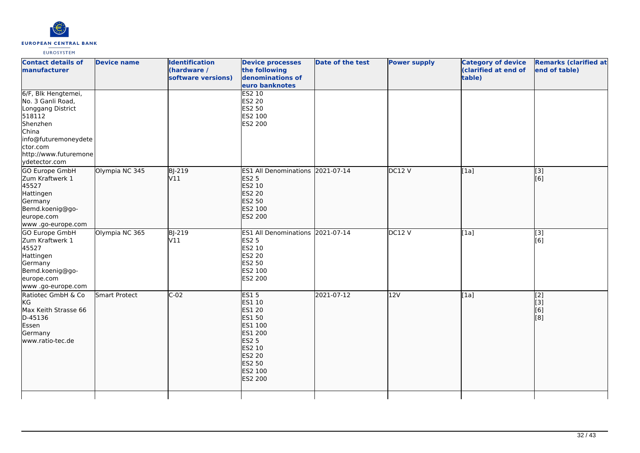

| <b>Contact details of</b><br>manufacturer                                                                                                                                  | <b>Device name</b> | <b>Identification</b><br>(hardware /<br>software versions) | <b>Device processes</b><br>the following<br>denominations of<br>euro banknotes                                                                    | <b>Date of the test</b> | <b>Power supply</b> | <b>Category of device</b><br>(clarified at end of<br>table) | <b>Remarks (clarified at</b><br>end of table) |
|----------------------------------------------------------------------------------------------------------------------------------------------------------------------------|--------------------|------------------------------------------------------------|---------------------------------------------------------------------------------------------------------------------------------------------------|-------------------------|---------------------|-------------------------------------------------------------|-----------------------------------------------|
| 6/F, Blk Hengtemei,<br>No. 3 Ganli Road,<br>Longgang District<br>518112<br>Shenzhen<br>China<br>info@futuremoneydete<br>ctor.com<br>http://www.futuremone<br>ydetector.com |                    |                                                            | <b>ES2 10</b><br>ES2 20<br>ES2 50<br>ES2 100<br>ES2 200                                                                                           |                         |                     |                                                             |                                               |
| <b>GO Europe GmbH</b><br>Zum Kraftwerk 1<br>45527<br>Hattingen<br>Germany<br>Bemd.koenig@go-<br>europe.com<br>www.go-europe.com                                            | Olympia NC 345     | <b>BJ-219</b><br>V11                                       | ES1 All Denominations 2021-07-14<br><b>ES2 5</b><br>ES2 10<br><b>ES2 20</b><br><b>ES2 50</b><br>ES2 100<br><b>ES2 200</b>                         |                         | DC12V               | [1a]                                                        | [3]<br>[[6]                                   |
| GO Europe GmbH<br>Zum Kraftwerk 1<br>45527<br>Hattingen<br>Germany<br>Bemd.koenig@go-<br>europe.com<br>www .go-europe.com                                                  | Olympia NC 365     | <b>BJ-219</b><br>V11                                       | ES1 All Denominations 2021-07-14<br><b>ES2 5</b><br>ES2 10<br><b>ES2 20</b><br><b>ES2 50</b><br>ES2 100<br>ES2 200                                |                         | <b>DC12 V</b>       | [1a]                                                        | [3]<br>[6]                                    |
| Ratiotec GmbH & Co<br>KG<br>Max Keith Strasse 66<br>D-45136<br>Essen<br>Germany<br>www.ratio-tec.de                                                                        | Smart Protect      | $C-02$                                                     | <b>ES15</b><br>ES1 10<br><b>ES1 20</b><br>ES1 50<br>ES1 100<br>ES1 200<br><b>ES2 5</b><br>ES2 10<br><b>ES2 20</b><br>ES2 50<br>ES2 100<br>ES2 200 | 2021-07-12              | 12V                 | [[1a]                                                       | $\overline{[2]}$<br>[3]<br>[6]<br>[8]         |
|                                                                                                                                                                            |                    |                                                            |                                                                                                                                                   |                         |                     |                                                             |                                               |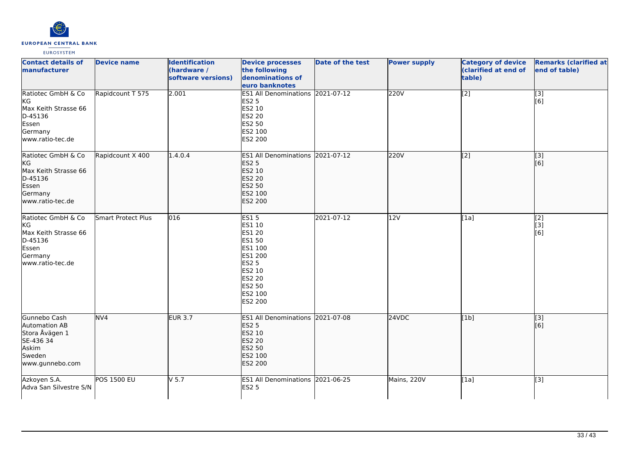

| <b>Contact details of</b><br>manufacturer                                                                  | <b>Device name</b> | <b>Identification</b><br>(hardware /<br>software versions) | <b>Device processes</b><br>the following<br>denominations of<br>euro banknotes                                                                    | <b>Date of the test</b> | <b>Power supply</b> | <b>Category of device</b><br>(clarified at end of<br>table) | <b>Remarks (clarified at</b><br>end of table) |
|------------------------------------------------------------------------------------------------------------|--------------------|------------------------------------------------------------|---------------------------------------------------------------------------------------------------------------------------------------------------|-------------------------|---------------------|-------------------------------------------------------------|-----------------------------------------------|
| Ratiotec GmbH & Co<br>KG<br>Max Keith Strasse 66<br>D-45136<br>Essen<br>Germany<br>www.ratio-tec.de        | Rapidcount T 575   | 2.001                                                      | ES1 All Denominations 2021-07-12<br><b>ES2 5</b><br>ES2 10<br><b>ES2 20</b><br>ES2 50<br>ES2 100<br>ES2 200                                       |                         | 220V                | [2]                                                         | $\overline{[}3]$<br>[6]                       |
| Ratiotec GmbH & Co<br><b>KG</b><br>Max Keith Strasse 66<br>D-45136<br>Essen<br>Germany<br>www.ratio-tec.de | Rapidcount X 400   | 1.4.0.4                                                    | ES1 All Denominations 2021-07-12<br><b>ES2 5</b><br>ES2 10<br><b>ES2 20</b><br><b>ES2 50</b><br>ES2 100<br>ES2 200                                |                         | 220V                | [2]                                                         | $\begin{bmatrix} 3 \\ 6 \end{bmatrix}$        |
| Ratiotec GmbH & Co<br>KG<br>Max Keith Strasse 66<br>D-45136<br>Essen<br>Germany<br>www.ratio-tec.de        | Smart Protect Plus | 016                                                        | <b>ES15</b><br>ES1 10<br><b>ES1 20</b><br>ES1 50<br>ES1 100<br>ES1 200<br><b>ES2 5</b><br>ES2 10<br><b>ES2 20</b><br>ES2 50<br>ES2 100<br>ES2 200 | 2021-07-12              | 12V                 | [1a]                                                        | [2]<br>$\overline{[}3]$<br>[6]                |
| Gunnebo Cash<br>Automation AB<br>Stora Åvägen 1<br>SE-436 34<br>Askim<br>Sweden<br>www.gunnebo.com         | NV <sub>4</sub>    | <b>EUR 3.7</b>                                             | ES1 All Denominations 2021-07-08<br><b>ES2 5</b><br>ES2 10<br><b>ES2 20</b><br><b>ES2 50</b><br>ES2 100<br>ES2 200                                |                         | 24VDC               | [1b]                                                        | $\sqrt{3}$<br>[6]                             |
| Azkoyen S.A.<br>Adva San Silvestre S/N                                                                     | <b>POS 1500 EU</b> | V <sub>5.7</sub>                                           | ES1 All Denominations 2021-06-25<br><b>ES2 5</b>                                                                                                  |                         | Mains, 220V         | [1a]                                                        | [3]                                           |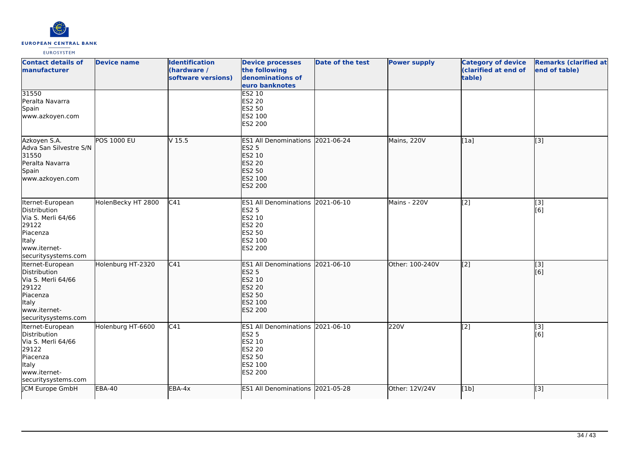

| <b>Contact details of</b><br>manufacturer                                                                                          | <b>Device name</b> | <b>Identification</b><br>(hardware /<br>software versions) | <b>Device processes</b><br>the following<br>denominations of<br>euro banknotes                                     | <b>Date of the test</b> | <b>Power supply</b> | <b>Category of device</b><br>(clarified at end of<br>table) | <b>Remarks (clarified at</b><br>end of table) |
|------------------------------------------------------------------------------------------------------------------------------------|--------------------|------------------------------------------------------------|--------------------------------------------------------------------------------------------------------------------|-------------------------|---------------------|-------------------------------------------------------------|-----------------------------------------------|
| 31550<br>Peralta Navarra<br>Spain<br>www.azkoyen.com                                                                               |                    |                                                            | <b>ES2 10</b><br>ES2 20<br>ES2 50<br>ES2 100<br>ES2 200                                                            |                         |                     |                                                             |                                               |
| Azkoyen S.A.<br>Adva San Silvestre S/N<br>31550<br>Peralta Navarra<br>Spain<br>www.azkoyen.com                                     | <b>POS 1000 EU</b> | V <sub>15.5</sub>                                          | ES1 All Denominations 2021-06-24<br><b>ES2 5</b><br>ES2 10<br><b>ES2 20</b><br>ES2 50<br>ES2 100<br><b>ES2 200</b> |                         | Mains, 220V         | [1a]                                                        | $\overline{[}3]$                              |
| Iternet-European<br>Distribution<br>Via S. Merli 64/66<br>29122<br>Piacenza<br>Italy<br>www.iternet-<br>securitysystems.com        | HolenBecky HT 2800 | C41                                                        | ES1 All Denominations 2021-06-10<br><b>ES2 5</b><br>ES2 10<br>ES2 20<br>ES2 50<br>ES2 100<br>ES2 200               |                         | Mains - 220V        | [2]                                                         | $[3]$<br>[6]                                  |
| Iternet-European<br>Distribution<br>Via S. Merli 64/66<br>29122<br>Piacenza<br>Italy<br>www.iternet-<br>securitysystems.com        | Holenburg HT-2320  | C41                                                        | ES1 All Denominations 2021-06-10<br><b>ES2 5</b><br>ES2 10<br>ES2 20<br><b>ES2 50</b><br>ES2 100<br>ES2 200        |                         | Other: 100-240V     | $\left[ \begin{matrix} 2 \end{matrix} \right]$              | [3]<br>[6]                                    |
| Iternet-European<br>Distribution<br>Via S. Merli 64/66<br>29122<br>Piacenza<br><b>Italy</b><br>www.iternet-<br>securitysystems.com | Holenburg HT-6600  | C41                                                        | ES1 All Denominations 2021-06-10<br>ES2 5<br>ES2 10<br>ES2 20<br>ES2 50<br>ES2 100<br>ES2 200                      |                         | 220V                | $\overline{[2]}$                                            | $\overline{[3]}$<br>[6]                       |
| JCM Europe GmbH                                                                                                                    | $EBA-40$           | EBA-4x                                                     | ES1 All Denominations 2021-05-28                                                                                   |                         | Other: 12V/24V      | [1b]                                                        | [3]                                           |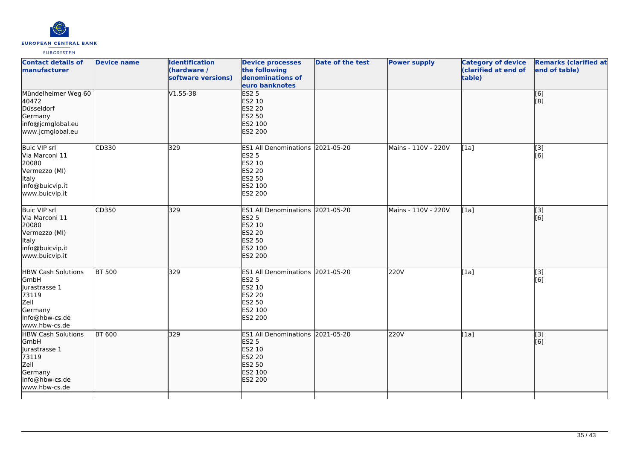

| <b>Contact details of</b><br>manufacturer                                                                          | <b>Device name</b> | <b>Identification</b><br>(hardware /<br>software versions) | <b>Device processes</b><br>the following<br>denominations of<br>euro banknotes                          | <b>Date of the test</b> | <b>Power supply</b> | <b>Category of device</b><br>(clarified at end of<br>table) | <b>Remarks (clarified at</b><br>end of table) |
|--------------------------------------------------------------------------------------------------------------------|--------------------|------------------------------------------------------------|---------------------------------------------------------------------------------------------------------|-------------------------|---------------------|-------------------------------------------------------------|-----------------------------------------------|
| Mündelheimer Weg 60<br>40472<br>Düsseldorf<br>Germany<br>info@jcmglobal.eu<br>www.jcmglobal.eu                     |                    | $V1.55 - 38$                                               | ES2 <sub>5</sub><br>ES2 10<br><b>ES2 20</b><br><b>ES2 50</b><br>ES2 100<br>ES2 200                      |                         |                     |                                                             | [6]<br>[8]                                    |
| <b>Buic VIP srl</b><br>Via Marconi 11<br>20080<br>Vermezzo (MI)<br>Italy<br>info@buicvip.it<br>www.buicvip.it      | CD330              | 329                                                        | ES1 All Denominations 2021-05-20<br><b>ES2 5</b><br>ES2 10<br>ES2 20<br>ES2 50<br>ES2 100<br>ES2 200    |                         | Mains - 110V - 220V | [1a]                                                        | $\overline{[3]}$<br>[6]                       |
| Buic VIP srl<br>Via Marconi 11<br>20080<br>Vermezzo (MI)<br>Italy<br>info@buicvip.it<br>www.buicvip.it             | CD350              | 329                                                        | <b>ES1 All Denominations</b><br><b>ES2 5</b><br>ES2 10<br>ES2 20<br>ES2 50<br>ES2 100<br>ES2 200        | 2021-05-20              | Mains - 110V - 220V | [1a]                                                        | [3]<br>[6]                                    |
| <b>HBW Cash Solutions</b><br>GmbH<br>Jurastrasse 1<br>73119<br>Zell<br>Germany<br>Info@hbw-cs.de<br>www.hbw-cs.de  | <b>BT 500</b>      | 329                                                        | ES1 All Denominations 2021-05-20<br><b>ES2 5</b><br>ES2 10<br>ES2 20<br>ES2 50<br>ES2 100<br>ES2 200    |                         | 220V                | [1a]                                                        | $\overline{[3]}$<br>[6]                       |
| <b>HBW Cash Solutions</b><br>GmbH<br>llurastrasse 1<br>73119<br>Zell<br>Germany<br>Info@hbw-cs.de<br>www.hbw-cs.de | <b>BT 600</b>      | 329                                                        | <b>ES1 All Denominations</b><br><b>ES2 5</b><br>ES2 10<br>ES2 20<br><b>ES2 50</b><br>ES2 100<br>ES2 200 | 2021-05-20              | 220V                | [1a]                                                        | $\overline{[}$ [3]<br>[6]                     |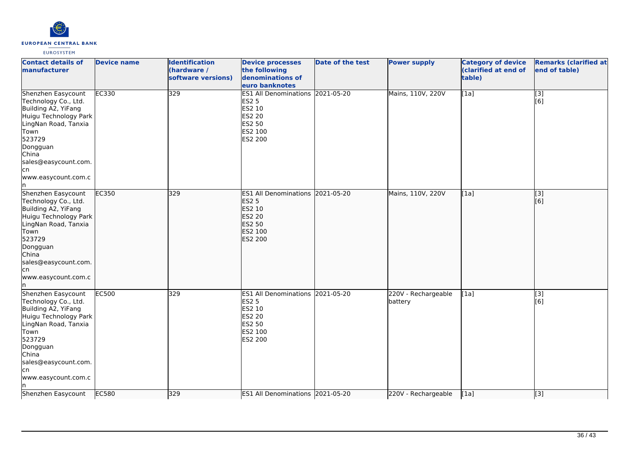

| <b>Contact details of</b><br>manufacturer                                                                                                                                                                       | <b>Device name</b> | <b>Identification</b><br>(hardware /<br>software versions) | <b>Device processes</b><br>the following<br>denominations of<br>euro banknotes                              | Date of the test | <b>Power supply</b>            | <b>Category of device</b><br>(clarified at end of<br>table) | <b>Remarks (clarified at</b><br>end of table) |
|-----------------------------------------------------------------------------------------------------------------------------------------------------------------------------------------------------------------|--------------------|------------------------------------------------------------|-------------------------------------------------------------------------------------------------------------|------------------|--------------------------------|-------------------------------------------------------------|-----------------------------------------------|
| Shenzhen Easycount<br>Technology Co., Ltd.<br>Building A2, YiFang<br>Huigu Technology Park<br>LingNan Road, Tanxia<br>Town<br>523729<br>Dongguan<br>China<br>sales@easycount.com.<br>lcn<br>www.easycount.com.c | EC330              | 329                                                        | ES1 All Denominations 2021-05-20<br><b>ES2 5</b><br>ES2 10<br><b>ES2 20</b><br>ES2 50<br>ES2 100<br>ES2 200 |                  | Mains, 110V, 220V              | $\overline{[1a]}$                                           | $\overline{[}3]$<br>[6]                       |
| Shenzhen Easycount<br>Technology Co., Ltd.<br>Building A2, YiFang<br>Huigu Technology Park<br>LingNan Road, Tanxia<br>Town<br>523729<br>Dongguan<br>China<br>sales@easycount.com.<br>lcn<br>www.easycount.com.c | EC350              | 329                                                        | ES1 All Denominations 2021-05-20<br><b>ES2 5</b><br>ES2 10<br><b>ES2 20</b><br>ES2 50<br>ES2 100<br>ES2 200 |                  | Mains, 110V, 220V              | [1a]                                                        | [3]<br>[6]                                    |
| Shenzhen Easycount<br>Technology Co., Ltd.<br>Building A2, YiFang<br>Huigu Technology Park<br>LingNan Road, Tanxia<br>Town<br>523729<br>Dongguan<br>China<br>sales@easycount.com.<br>cn<br>www.easycount.com.c  | <b>EC500</b>       | 329                                                        | ES1 All Denominations 2021-05-20<br><b>ES2 5</b><br>ES2 10<br><b>ES2 20</b><br>ES2 50<br>ES2 100<br>ES2 200 |                  | 220V - Rechargeable<br>battery | [1a]                                                        | [3]<br>[6]                                    |
| Shenzhen Easycount                                                                                                                                                                                              | EC580              | 329                                                        | ES1 All Denominations 2021-05-20                                                                            |                  | 220V - Rechargeable            | [1a]                                                        | $\overline{[}3]$                              |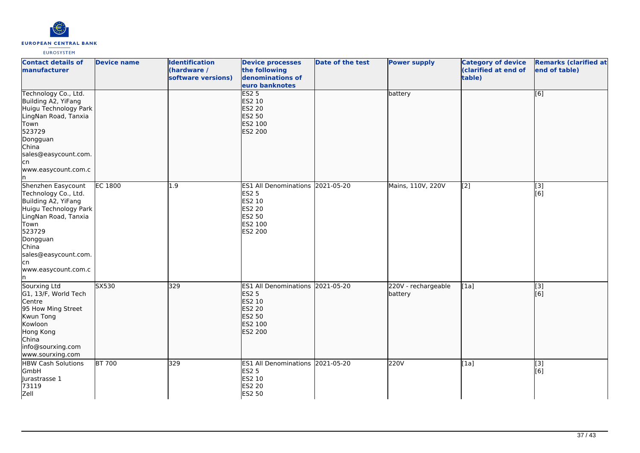

| <b>Contact details of</b><br>manufacturer                                                                                                                                                                              | <b>Device name</b> | <b>Identification</b><br>(hardware /<br>software versions) | <b>Device processes</b><br>the following<br>denominations of<br>euro banknotes                              | <b>Date of the test</b> | <b>Power supply</b>            | <b>Category of device</b><br>(clarified at end of<br>table) | <b>Remarks (clarified at</b><br>end of table) |
|------------------------------------------------------------------------------------------------------------------------------------------------------------------------------------------------------------------------|--------------------|------------------------------------------------------------|-------------------------------------------------------------------------------------------------------------|-------------------------|--------------------------------|-------------------------------------------------------------|-----------------------------------------------|
| Technology Co., Ltd.<br>Building A2, YiFang<br>Huigu Technology Park<br>LingNan Road, Tanxia<br>Town<br>523729<br>Dongguan<br>China<br>sales@easycount.com.<br>lcn<br>www.easycount.com.c<br>In.                       |                    |                                                            | <b>ES2 5</b><br>ES2 10<br><b>ES2 20</b><br><b>ES2 50</b><br>ES2 100<br>ES2 200                              |                         | battery                        |                                                             | [6]                                           |
| Shenzhen Easycount<br>Technology Co., Ltd.<br>Building A2, YiFang<br>Huigu Technology Park<br>LingNan Road, Tanxia<br>Town<br>523729<br>Dongguan<br>China<br>sales@easycount.com.<br>lcn<br>www.easycount.com.c<br>In. | <b>EC 1800</b>     | 1.9                                                        | ES1 All Denominations 2021-05-20<br><b>ES2 5</b><br>ES2 10<br><b>ES2 20</b><br>ES2 50<br>ES2 100<br>ES2 200 |                         | Mains, 110V, 220V              | $\left[ \begin{matrix} 2 \end{matrix} \right]$              | [3]<br>[6]                                    |
| Sourxing Ltd<br>G1, 13/F, World Tech<br>Centre<br>95 How Ming Street<br>Kwun Tong<br>Kowloon<br>Hong Kong<br>China<br>info@sourxing.com<br>www.sourxing.com                                                            | SX530              | 329                                                        | ES1 All Denominations 2021-05-20<br><b>ES2 5</b><br>ES2 10<br><b>ES2 20</b><br>ES2 50<br>ES2 100<br>ES2 200 |                         | 220V - rechargeable<br>battery | [1a]                                                        | $\overline{[}3]$<br>[6]                       |
| <b>HBW Cash Solutions</b><br>GmbH<br>Jurastrasse 1<br>73119<br>Zell                                                                                                                                                    | <b>BT 700</b>      | 329                                                        | ES1 All Denominations 2021-05-20<br><b>ES2 5</b><br>ES2 10<br><b>ES2 20</b><br><b>ES2 50</b>                |                         | 220V                           | [1a]                                                        | $\overline{[}3]$<br>[6]                       |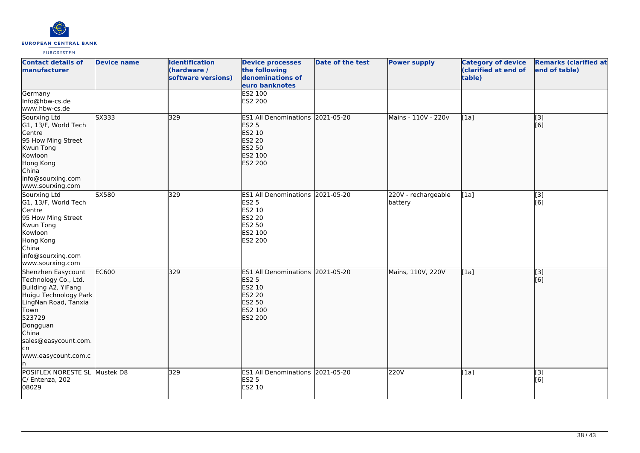

| <b>Contact details of</b><br><b>Imanufacturer</b>                                                                                                                                                               | <b>Device name</b> | <b>Identification</b><br>(hardware /<br>software versions) | <b>Device processes</b><br>the following<br>denominations of<br>euro banknotes                              | <b>Date of the test</b> | <b>Power supply</b>            | <b>Category of device</b><br>(clarified at end of<br>table) | <b>Remarks (clarified at</b><br>end of table) |
|-----------------------------------------------------------------------------------------------------------------------------------------------------------------------------------------------------------------|--------------------|------------------------------------------------------------|-------------------------------------------------------------------------------------------------------------|-------------------------|--------------------------------|-------------------------------------------------------------|-----------------------------------------------|
| Germany<br>Info@hbw-cs.de<br>www.hbw-cs.de                                                                                                                                                                      |                    |                                                            | ES2 100<br>ES2 200                                                                                          |                         |                                |                                                             |                                               |
| Sourxing Ltd<br>G1, 13/F, World Tech<br>Centre<br>95 How Ming Street<br>Kwun Tong<br>Kowloon<br>Hong Kong<br>China<br>info@sourxing.com<br>www.sourxing.com                                                     | 5x333              | 329                                                        | ES1 All Denominations 2021-05-20<br><b>ES2 5</b><br>ES2 10<br>ES2 20<br>ES2 50<br>ES2 100<br>ES2 200        |                         | Mains - 110V - 220v            | [1a]                                                        | $\overline{[}3]$<br>[6]                       |
| Sourxing Ltd<br>G1, 13/F, World Tech<br>Centre<br>95 How Ming Street<br>Kwun Tong<br>Kowloon<br>Hong Kong<br>China<br>info@sourxing.com<br>www.sourxing.com                                                     | SX580              | 329                                                        | ES1 All Denominations 2021-05-20<br>ES2 5<br>ES2 10<br>ES2 20<br>ES2 50<br>ES2 100<br>ES2 200               |                         | 220V - rechargeable<br>battery | [1a]                                                        | $\overline{[3]}$<br>[6]                       |
| Shenzhen Easycount<br>Technology Co., Ltd.<br>Building A2, YiFang<br>Huigu Technology Park<br>LingNan Road, Tanxia<br>Town<br>523729<br>Dongguan<br>China<br>sales@easycount.com.<br>lcn<br>www.easycount.com.c | <b>EC600</b>       | 329                                                        | ES1 All Denominations 2021-05-20<br><b>ES2 5</b><br><b>ES2 10</b><br>ES2 20<br>ES2 50<br>ES2 100<br>ES2 200 |                         | Mains, 110V, 220V              | [1a]                                                        | $\overline{[3]}$<br>[6]                       |
| POSIFLEX NORESTE SL Mustek D8<br>C/ Entenza, 202<br>08029                                                                                                                                                       |                    | 329                                                        | ES1 All Denominations 2021-05-20<br><b>ES2 5</b><br>ES2 10                                                  |                         | 220V                           | [1a]                                                        | $\overline{[3]}$<br>[6]                       |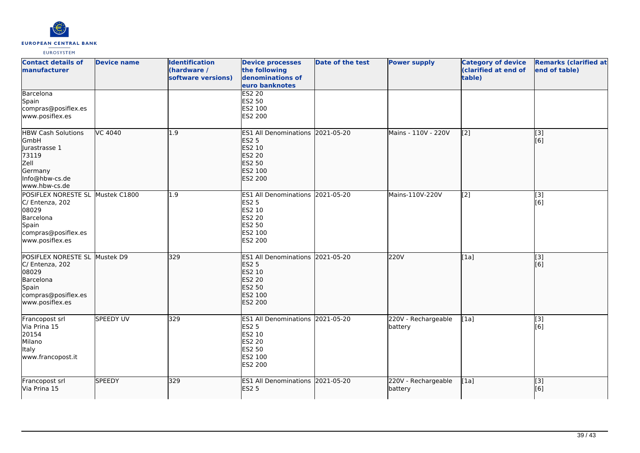

| <b>Contact details of</b><br><b>Imanufacturer</b>                                                                 | <b>Device name</b> | <b>Identification</b><br>(hardware /<br>software versions) | <b>Device processes</b><br>the following<br>denominations of<br>euro banknotes                                     | <b>Date of the test</b> | <b>Power supply</b>            | <b>Category of device</b><br>(clarified at end of<br>table) | <b>Remarks (clarified at</b><br>end of table) |
|-------------------------------------------------------------------------------------------------------------------|--------------------|------------------------------------------------------------|--------------------------------------------------------------------------------------------------------------------|-------------------------|--------------------------------|-------------------------------------------------------------|-----------------------------------------------|
| Barcelona<br>Spain<br>compras@posiflex.es<br>www.posiflex.es                                                      |                    |                                                            | <b>ES2 20</b><br>ES2 50<br>ES2 100<br>ES2 200                                                                      |                         |                                |                                                             |                                               |
| <b>HBW Cash Solutions</b><br>GmbH<br>Jurastrasse 1<br>73119<br>Zell<br>Germany<br>Info@hbw-cs.de<br>www.hbw-cs.de | VC 4040            | 1.9                                                        | ES1 All Denominations 2021-05-20<br><b>ES2 5</b><br>ES2 10<br><b>ES2 20</b><br>ES2 50<br>ES2 100<br><b>ES2 200</b> |                         | Mains - 110V - 220V            | $\left[ \begin{matrix} 2 \end{matrix} \right]$              | [3]<br>[6]                                    |
| POSIFLEX NORESTE SL<br>C/ Entenza, 202<br>08029<br>Barcelona<br>Spain<br>compras@posiflex.es<br>www.posiflex.es   | Mustek C1800       | 1.9                                                        | ES1 All Denominations 2021-05-20<br>ES2 5<br>ES2 10<br><b>ES2 20</b><br>ES2 50<br>ES2 100<br>ES2 200               |                         | Mains-110V-220V                | [2]                                                         | [3]<br>[6]                                    |
| POSIFLEX NORESTE SL<br>C/ Entenza, 202<br>08029<br>Barcelona<br>Spain<br>compras@posiflex.es<br>www.posiflex.es   | Mustek D9          | 329                                                        | ES1 All Denominations 2021-05-20<br><b>ES2 5</b><br>ES2 10<br>ES2 20<br><b>ES2 50</b><br>ES2 100<br><b>ES2 200</b> |                         | 220V                           | [1a]                                                        | [3]<br>[6]                                    |
| Francopost srl<br>Via Prina 15<br>20154<br>Milano<br>Italy<br>www.francopost.it                                   | <b>SPEEDY UV</b>   | 329                                                        | ES1 All Denominations 2021-05-20<br>ES2 5<br>ES2 10<br><b>ES2 20</b><br><b>ES2 50</b><br>ES2 100<br>ES2 200        |                         | 220V - Rechargeable<br>battery | [1a]                                                        | [3]<br>[6]                                    |
| Francopost srl<br>Via Prina 15                                                                                    | <b>SPEEDY</b>      | 329                                                        | ES1 All Denominations 2021-05-20<br><b>ES2 5</b>                                                                   |                         | 220V - Rechargeable<br>battery | [1a]                                                        | $\overline{[}$ [3]<br>[6]                     |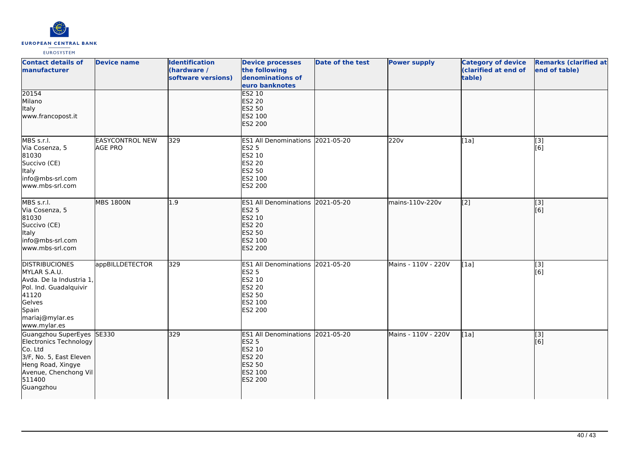

| <b>Contact details of</b><br>manufacturer                                                                                                                      | <b>Device name</b>                       | <b>Identification</b><br>(hardware /<br>software versions) | <b>Device processes</b><br>the following<br>denominations of<br>euro banknotes                                     | <b>Date of the test</b> | <b>Power supply</b> | <b>Category of device</b><br>(clarified at end of<br>table) | <b>Remarks (clarified at</b><br>end of table) |
|----------------------------------------------------------------------------------------------------------------------------------------------------------------|------------------------------------------|------------------------------------------------------------|--------------------------------------------------------------------------------------------------------------------|-------------------------|---------------------|-------------------------------------------------------------|-----------------------------------------------|
| 20154<br>Milano<br>Italy<br>www.francopost.it                                                                                                                  |                                          |                                                            | <b>ES2 10</b><br>ES2 20<br>ES2 50<br>ES2 100<br><b>ES2 200</b>                                                     |                         |                     |                                                             |                                               |
| MBS s.r.l.<br>Via Cosenza, 5<br>81030<br>Succivo (CE)<br><b>Italy</b><br>info@mbs-srl.com<br>www.mbs-srl.com                                                   | <b>EASYCONTROL NEW</b><br><b>AGE PRO</b> | 329                                                        | ES1 All Denominations 2021-05-20<br>ES2 5<br>ES2 10<br>ES2 20<br>ES2 50<br>ES2 100<br>ES2 200                      |                         | 220 <sub>v</sub>    | [1a]                                                        | $\overline{[3]}$<br>[6]                       |
| MBS s.r.l.<br>Via Cosenza, 5<br>81030<br>Succivo (CE)<br><b>Italy</b><br>info@mbs-srl.com<br>lwww.mbs-srl.com                                                  | <b>MBS 1800N</b>                         | 1.9                                                        | ES1 All Denominations 2021-05-20<br><b>ES2 5</b><br>ES2 10<br><b>ES2 20</b><br><b>ES2 50</b><br>ES2 100<br>ES2 200 |                         | mains-110v-220v     | [2]                                                         | [3]<br>[6]                                    |
| <b>DISTRIBUCIONES</b><br>MYLAR S.A.U.<br>Avda. De la Industria 1,<br>Pol. Ind. Guadalquivir<br>41120<br>Gelves<br>Spain<br>mariaj@mylar.es<br>www.mylar.es     | appBILLDETECTOR                          | 329                                                        | ES1 All Denominations 2021-05-20<br><b>ES2 5</b><br>ES2 10<br><b>ES2 20</b><br><b>ES2 50</b><br>ES2 100<br>ES2 200 |                         | Mains - 110V - 220V | [1a]                                                        | [3]<br>[6]                                    |
| Guangzhou SuperEyes SE330<br>Electronics Technology<br>Co. Ltd<br>3/F, No. 5, East Eleven<br>Heng Road, Xingye<br>Avenue, Chenchong Vil<br>511400<br>Guangzhou |                                          | 329                                                        | ES1 All Denominations 2021-05-20<br><b>ES2 5</b><br>ES2 10<br><b>ES2 20</b><br><b>ES2 50</b><br>ES2 100<br>ES2 200 |                         | Mains - 110V - 220V | [1a]                                                        | [3]<br>[6]                                    |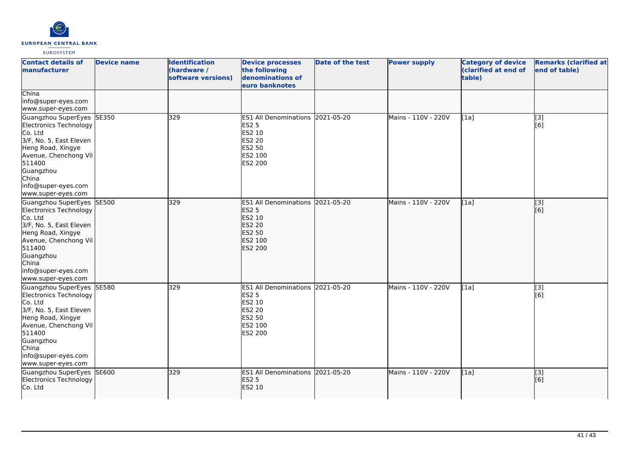

| <b>Contact details of</b><br>manufacturer                                                                                                                                                                            | <b>Device name</b> | <b>Identification</b><br>(hardware /<br>software versions) | <b>Device processes</b><br>the following<br>denominations of<br>euro banknotes                                            | Date of the test | <b>Power supply</b> | <b>Category of device</b><br>(clarified at end of<br>table) | <b>Remarks (clarified at</b><br>end of table) |
|----------------------------------------------------------------------------------------------------------------------------------------------------------------------------------------------------------------------|--------------------|------------------------------------------------------------|---------------------------------------------------------------------------------------------------------------------------|------------------|---------------------|-------------------------------------------------------------|-----------------------------------------------|
| China<br>info@super-eyes.com<br>www.super-eyes.com                                                                                                                                                                   |                    |                                                            |                                                                                                                           |                  |                     |                                                             |                                               |
| Guangzhou SuperEyes SE350<br>Electronics Technology<br>Co. Ltd<br>3/F, No. 5, East Eleven<br>Heng Road, Xingye<br>Avenue, Chenchong Vil<br>511400<br>Guangzhou<br>China<br>info@super-eyes.com<br>www.super-eyes.com |                    | 329                                                        | ES1 All Denominations 2021-05-20<br><b>ES2 5</b><br>ES2 10<br><b>ES2 20</b><br>ES2 50<br>ES2 100<br>ES2 200               |                  | Mains - 110V - 220V | [1a]                                                        | $\overline{[3]}$<br>[6]                       |
| Guangzhou SuperEyes SE500<br>Electronics Technology<br>Co. Ltd<br>3/F, No. 5, East Eleven<br>Heng Road, Xingye<br>Avenue, Chenchong Vil<br>511400<br>Guangzhou<br>China<br>info@super-eyes.com<br>www.super-eyes.com |                    | 329                                                        | ES1 All Denominations 2021-05-20<br><b>ES2 5</b><br>ES2 10<br><b>ES2 20</b><br><b>ES2 50</b><br>ES2 100<br><b>ES2 200</b> |                  | Mains - 110V - 220V | [1a]                                                        | [3]<br>[6]                                    |
| Guangzhou SuperEyes SE580<br>Electronics Technology<br>Co. Ltd<br>3/F, No. 5, East Eleven<br>Heng Road, Xingye<br>Avenue, Chenchong Vil<br>511400<br>Guangzhou<br>China<br>info@super-eyes.com<br>www.super-eyes.com |                    | 329                                                        | ES1 All Denominations 2021-05-20<br><b>ES2 5</b><br>ES2 10<br><b>ES2 20</b><br><b>ES2 50</b><br>ES2 100<br>ES2 200        |                  | Mains - 110V - 220V | [1a]                                                        | [3]<br>[6]                                    |
| Guangzhou SuperEyes SE600<br>Electronics Technology<br>Co. Ltd                                                                                                                                                       |                    | 329                                                        | ES1 All Denominations 2021-05-20<br><b>ES2 5</b><br>ES2 10                                                                |                  | Mains - 110V - 220V | [1a]                                                        | $\overline{[}$ [3]<br>[6]                     |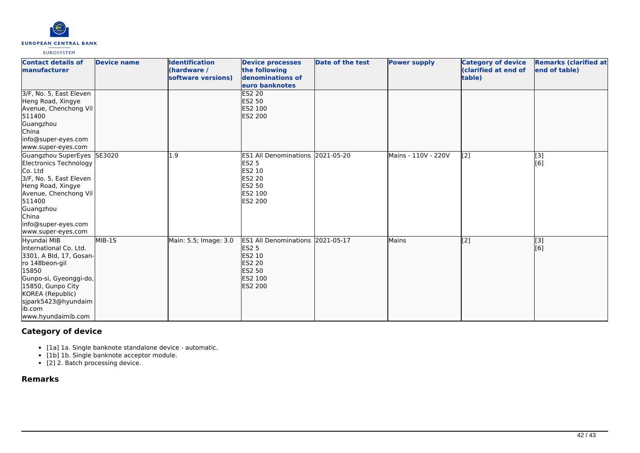

| <b>Contact details of</b><br>manufacturer                                                                                                                                                                             | <b>Device name</b> | <b>Identification</b><br>(hardware /<br>software versions) | <b>Device processes</b><br>the following<br>denominations of<br>euro banknotes                                                   | Date of the test | <b>Power supply</b> | <b>Category of device</b><br><b>Clarified at end of</b><br>table) | <b>Remarks (clarified at</b><br>end of table) |
|-----------------------------------------------------------------------------------------------------------------------------------------------------------------------------------------------------------------------|--------------------|------------------------------------------------------------|----------------------------------------------------------------------------------------------------------------------------------|------------------|---------------------|-------------------------------------------------------------------|-----------------------------------------------|
| 3/F, No. 5, East Eleven<br>Heng Road, Xingye<br>Avenue, Chenchong Vil<br>511400<br>Guangzhou<br>China<br>info@super-eyes.com<br>www.super-eyes.com                                                                    |                    |                                                            | <b>ES2 20</b><br><b>ES2 50</b><br><b>ES2 100</b><br><b>ES2 200</b>                                                               |                  |                     |                                                                   |                                               |
| Guangzhou SuperEyes SE3020<br>Electronics Technology<br>Co. Ltd<br>3/F, No. 5, East Eleven<br>Heng Road, Xingye<br>Avenue, Chenchong Vil<br>511400<br>Guangzhou<br>China<br>info@super-eyes.com<br>www.super-eyes.com |                    | 1.9                                                        | ES1 All Denominations 2021-05-20<br><b>ES2 5</b><br>ES2 10<br>ES2 20<br><b>ES2 50</b><br><b>ES2 100</b><br>ES2 200               |                  | Mains - 110V - 220V | $\left[2\right]$                                                  | [3]<br>[6]                                    |
| Hyundai MIB<br>International Co. Ltd.<br>3301, A Bld, 17, Gosan-<br>ro 148beon-gil<br>15850<br>Gunpo-si, Gyeonggi-do,<br>15850, Gunpo City<br>KOREA (Republic)<br>sjpark5423@hyundaim<br>ib.com<br>www.hyundaimib.com | MIB-1S             | Main: 5.5; Image: 3.0                                      | ES1 All Denominations 2021-05-17<br><b>ES2 5</b><br>ES2 10<br><b>ES2 20</b><br><b>ES2 50</b><br><b>ES2 100</b><br><b>ES2 200</b> |                  | <b>Mains</b>        | $\overline{[2]}$                                                  | [3]<br>[6]                                    |

# **Category of device**

- [1a] 1a. Single banknote standalone device automatic.
- [1b] 1b. Single banknote acceptor module.
- [2] 2. Batch processing device.

**Remarks**